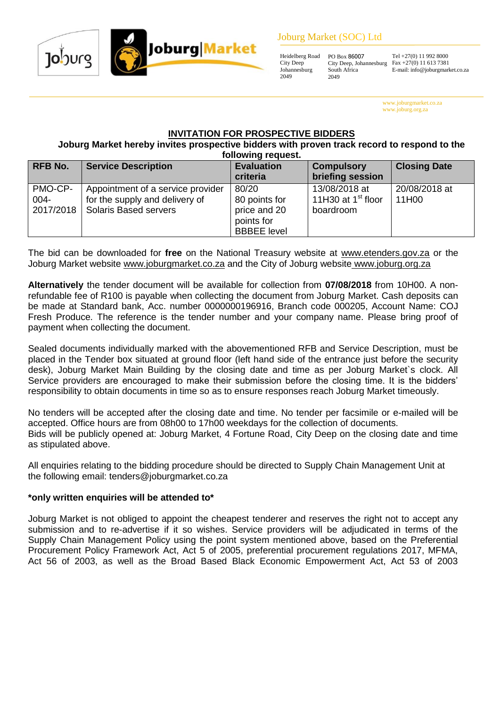#### Joburg Market (SOC) Ltd



Tel +27(0) 11 992 8000 Fax +27(0) 11 613 7381 E-mail: info@joburgmarket.co.za

www.joburgmarket.co.za www.joburg.org.za

# **INVITATION FOR PROSPECTIVE BIDDERS**

**Joburg Market hereby invites prospective bidders with proven track record to respond to the following request.**

| <b>RFB No.</b>  | <b>Service Description</b>                                                                               | <b>Evaluation</b><br>criteria                                              | <b>Compulsory</b><br>briefing session              | <b>Closing Date</b>    |
|-----------------|----------------------------------------------------------------------------------------------------------|----------------------------------------------------------------------------|----------------------------------------------------|------------------------|
| PMO-CP-<br>004- | Appointment of a service provider<br>for the supply and delivery of<br>2017/2018   Solaris Based servers | 80/20<br>80 points for<br>price and 20<br>points for<br><b>BBBEE</b> level | 13/08/2018 at<br>11H30 at $1st$ floor<br>boardroom | 20/08/2018 at<br>11H00 |

The bid can be downloaded for **free** on the National Treasury website at [www.etenders.gov.za](http://www.etenders.gov.za/) or the Joburg Market website [www.joburgmarket.co.za](http://www.joburgmarket.co.za/) and the City of Joburg website [www.joburg.org.za](http://www.joburg.org.za/)

**Alternatively** the tender document will be available for collection from **07/08/2018** from 10H00. A nonrefundable fee of R100 is payable when collecting the document from Joburg Market. Cash deposits can be made at Standard bank, Acc. number 0000000196916, Branch code 000205, Account Name: COJ Fresh Produce. The reference is the tender number and your company name. Please bring proof of payment when collecting the document.

Sealed documents individually marked with the abovementioned RFB and Service Description, must be placed in the Tender box situated at ground floor (left hand side of the entrance just before the security desk), Joburg Market Main Building by the closing date and time as per Joburg Market`s clock. All Service providers are encouraged to make their submission before the closing time. It is the bidders' responsibility to obtain documents in time so as to ensure responses reach Joburg Market timeously.

No tenders will be accepted after the closing date and time. No tender per facsimile or e-mailed will be accepted. Office hours are from 08h00 to 17h00 weekdays for the collection of documents. Bids will be publicly opened at: Joburg Market, 4 Fortune Road, City Deep on the closing date and time as stipulated above.

All enquiries relating to the bidding procedure should be directed to Supply Chain Management Unit at the following email: tenders@joburgmarket.co.za

#### **\*only written enquiries will be attended to\***

Joburg Market is not obliged to appoint the cheapest tenderer and reserves the right not to accept any submission and to re-advertise if it so wishes. Service providers will be adjudicated in terms of the Supply Chain Management Policy using the point system mentioned above, based on the Preferential Procurement Policy Framework Act, Act 5 of 2005, preferential procurement regulations 2017, MFMA, Act 56 of 2003, as well as the Broad Based Black Economic Empowerment Act, Act 53 of 2003



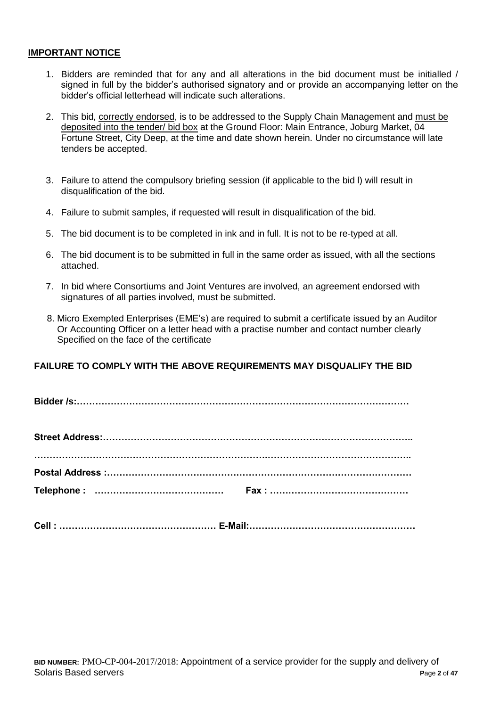#### **IMPORTANT NOTICE**

- 1. Bidders are reminded that for any and all alterations in the bid document must be initialled / signed in full by the bidder's authorised signatory and or provide an accompanying letter on the bidder's official letterhead will indicate such alterations.
- 2. This bid, correctly endorsed, is to be addressed to the Supply Chain Management and must be deposited into the tender/ bid box at the Ground Floor: Main Entrance, Joburg Market, 04 Fortune Street, City Deep, at the time and date shown herein. Under no circumstance will late tenders be accepted.
- 3. Failure to attend the compulsory briefing session (if applicable to the bid l) will result in disqualification of the bid.
- 4. Failure to submit samples, if requested will result in disqualification of the bid.
- 5. The bid document is to be completed in ink and in full. It is not to be re-typed at all.
- 6. The bid document is to be submitted in full in the same order as issued, with all the sections attached.
- 7. In bid where Consortiums and Joint Ventures are involved, an agreement endorsed with signatures of all parties involved, must be submitted.
- 8. Micro Exempted Enterprises (EME's) are required to submit a certificate issued by an Auditor Or Accounting Officer on a letter head with a practise number and contact number clearly Specified on the face of the certificate

## **FAILURE TO COMPLY WITH THE ABOVE REQUIREMENTS MAY DISQUALIFY THE BID**

**Bidder /s:………………………………………………………………………………………………**

|  | Cell:………………………………………………… E-Mail:………………………………………………… |
|--|-----------------------------------------------------|
|  |                                                     |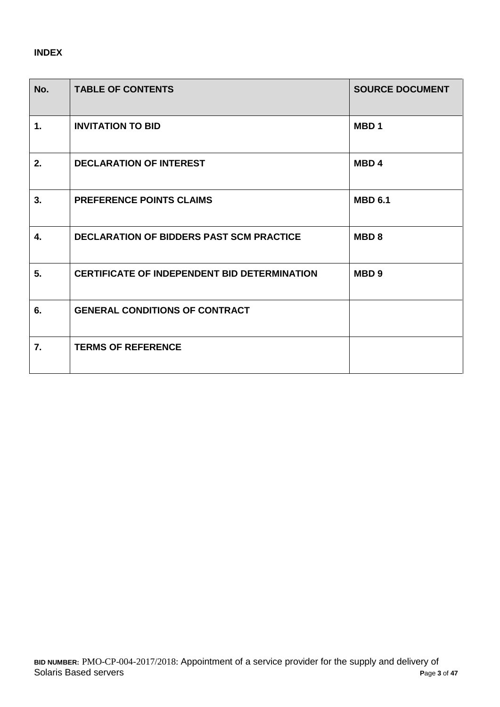# **INDEX**

| No.            | <b>TABLE OF CONTENTS</b>                            | <b>SOURCE DOCUMENT</b> |
|----------------|-----------------------------------------------------|------------------------|
| $\mathbf{1}$ . | <b>INVITATION TO BID</b>                            | MBD <sub>1</sub>       |
| 2.             | <b>DECLARATION OF INTEREST</b>                      | MBD <sub>4</sub>       |
| 3.             | <b>PREFERENCE POINTS CLAIMS</b>                     | <b>MBD 6.1</b>         |
| 4.             | <b>DECLARATION OF BIDDERS PAST SCM PRACTICE</b>     | MBD <sub>8</sub>       |
| 5.             | <b>CERTIFICATE OF INDEPENDENT BID DETERMINATION</b> | MBD <sub>9</sub>       |
| 6.             | <b>GENERAL CONDITIONS OF CONTRACT</b>               |                        |
| 7.             | <b>TERMS OF REFERENCE</b>                           |                        |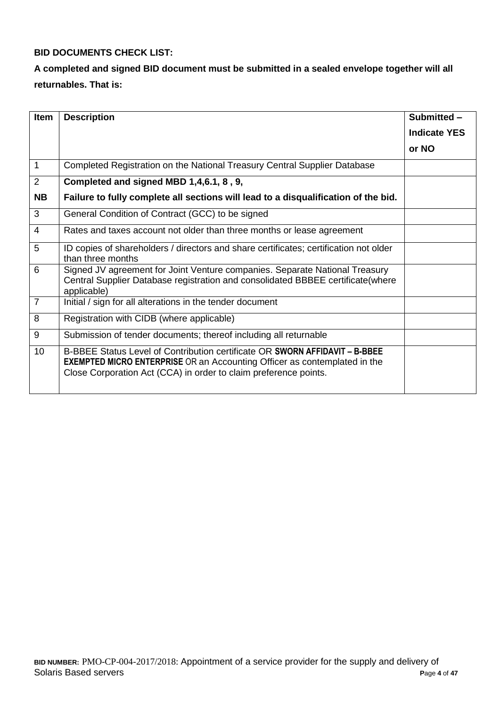# **BID DOCUMENTS CHECK LIST:**

# **A completed and signed BID document must be submitted in a sealed envelope together will all returnables. That is:**

| <b>Item</b>    | <b>Description</b>                                                                                                                                                                                                                  | Submitted -         |
|----------------|-------------------------------------------------------------------------------------------------------------------------------------------------------------------------------------------------------------------------------------|---------------------|
|                |                                                                                                                                                                                                                                     | <b>Indicate YES</b> |
|                |                                                                                                                                                                                                                                     | or NO               |
| $\mathbf 1$    | Completed Registration on the National Treasury Central Supplier Database                                                                                                                                                           |                     |
| 2              | Completed and signed MBD 1,4,6.1, 8, 9,                                                                                                                                                                                             |                     |
| <b>NB</b>      | Failure to fully complete all sections will lead to a disqualification of the bid.                                                                                                                                                  |                     |
| 3              | General Condition of Contract (GCC) to be signed                                                                                                                                                                                    |                     |
| $\overline{4}$ | Rates and taxes account not older than three months or lease agreement                                                                                                                                                              |                     |
| 5              | ID copies of shareholders / directors and share certificates; certification not older<br>than three months                                                                                                                          |                     |
| 6              | Signed JV agreement for Joint Venture companies. Separate National Treasury<br>Central Supplier Database registration and consolidated BBBEE certificate(where<br>applicable)                                                       |                     |
| $\overline{7}$ | Initial / sign for all alterations in the tender document                                                                                                                                                                           |                     |
| 8              | Registration with CIDB (where applicable)                                                                                                                                                                                           |                     |
| 9              | Submission of tender documents; thereof including all returnable                                                                                                                                                                    |                     |
| 10             | B-BBEE Status Level of Contribution certificate OR SWORN AFFIDAVIT - B-BBEE<br><b>EXEMPTED MICRO ENTERPRISE</b> OR an Accounting Officer as contemplated in the<br>Close Corporation Act (CCA) in order to claim preference points. |                     |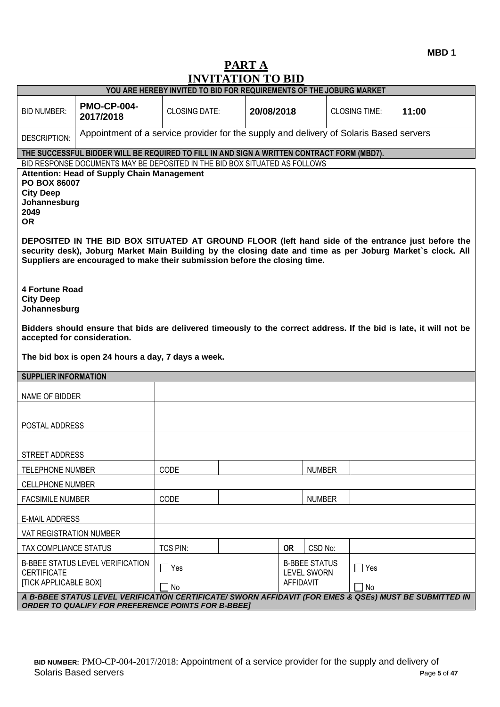**MBD 1**

# **PART A INVITATION TO BID**

|                                                                                                                                                                                                                                                                                                                                                                                                                                                                                                                                                                                                                                                                                                                                                                                          | IN VITRITION TO DID<br>YOU ARE HEREBY INVITED TO BID FOR REQUIREMENTS OF THE JOBURG MARKET                                                                          |                                                                                                          |  |            |           |               |                      |       |
|------------------------------------------------------------------------------------------------------------------------------------------------------------------------------------------------------------------------------------------------------------------------------------------------------------------------------------------------------------------------------------------------------------------------------------------------------------------------------------------------------------------------------------------------------------------------------------------------------------------------------------------------------------------------------------------------------------------------------------------------------------------------------------------|---------------------------------------------------------------------------------------------------------------------------------------------------------------------|----------------------------------------------------------------------------------------------------------|--|------------|-----------|---------------|----------------------|-------|
| <b>BID NUMBER:</b>                                                                                                                                                                                                                                                                                                                                                                                                                                                                                                                                                                                                                                                                                                                                                                       | <b>PMO-CP-004-</b><br>2017/2018                                                                                                                                     | <b>CLOSING DATE:</b>                                                                                     |  | 20/08/2018 |           |               | <b>CLOSING TIME:</b> | 11:00 |
| DESCRIPTION:                                                                                                                                                                                                                                                                                                                                                                                                                                                                                                                                                                                                                                                                                                                                                                             | Appointment of a service provider for the supply and delivery of Solaris Based servers                                                                              |                                                                                                          |  |            |           |               |                      |       |
|                                                                                                                                                                                                                                                                                                                                                                                                                                                                                                                                                                                                                                                                                                                                                                                          | THE SUCCESSFUL BIDDER WILL BE REQUIRED TO FILL IN AND SIGN A WRITTEN CONTRACT FORM (MBD7).                                                                          |                                                                                                          |  |            |           |               |                      |       |
| BID RESPONSE DOCUMENTS MAY BE DEPOSITED IN THE BID BOX SITUATED AS FOLLOWS<br><b>Attention: Head of Supply Chain Management</b><br><b>PO BOX 86007</b><br><b>City Deep</b><br>Johannesburg<br>2049<br><b>OR</b><br>DEPOSITED IN THE BID BOX SITUATED AT GROUND FLOOR (left hand side of the entrance just before the<br>security desk), Joburg Market Main Building by the closing date and time as per Joburg Market's clock. All<br>Suppliers are encouraged to make their submission before the closing time.<br><b>4 Fortune Road</b><br><b>City Deep</b><br>Johannesburg<br>Bidders should ensure that bids are delivered timeously to the correct address. If the bid is late, it will not be<br>accepted for consideration.<br>The bid box is open 24 hours a day, 7 days a week. |                                                                                                                                                                     |                                                                                                          |  |            |           |               |                      |       |
| <b>SUPPLIER INFORMATION</b>                                                                                                                                                                                                                                                                                                                                                                                                                                                                                                                                                                                                                                                                                                                                                              |                                                                                                                                                                     |                                                                                                          |  |            |           |               |                      |       |
| NAME OF BIDDER                                                                                                                                                                                                                                                                                                                                                                                                                                                                                                                                                                                                                                                                                                                                                                           |                                                                                                                                                                     |                                                                                                          |  |            |           |               |                      |       |
| POSTAL ADDRESS                                                                                                                                                                                                                                                                                                                                                                                                                                                                                                                                                                                                                                                                                                                                                                           |                                                                                                                                                                     |                                                                                                          |  |            |           |               |                      |       |
| STREET ADDRESS                                                                                                                                                                                                                                                                                                                                                                                                                                                                                                                                                                                                                                                                                                                                                                           |                                                                                                                                                                     |                                                                                                          |  |            |           |               |                      |       |
| <b>TELEPHONE NUMBER</b>                                                                                                                                                                                                                                                                                                                                                                                                                                                                                                                                                                                                                                                                                                                                                                  |                                                                                                                                                                     | CODE                                                                                                     |  |            |           | <b>NUMBER</b> |                      |       |
| <b>CELLPHONE NUMBER</b>                                                                                                                                                                                                                                                                                                                                                                                                                                                                                                                                                                                                                                                                                                                                                                  |                                                                                                                                                                     |                                                                                                          |  |            |           |               |                      |       |
| <b>FACSIMILE NUMBER</b>                                                                                                                                                                                                                                                                                                                                                                                                                                                                                                                                                                                                                                                                                                                                                                  |                                                                                                                                                                     | CODE                                                                                                     |  |            |           | <b>NUMBER</b> |                      |       |
|                                                                                                                                                                                                                                                                                                                                                                                                                                                                                                                                                                                                                                                                                                                                                                                          | <b>E-MAIL ADDRESS</b>                                                                                                                                               |                                                                                                          |  |            |           |               |                      |       |
| VAT REGISTRATION NUMBER                                                                                                                                                                                                                                                                                                                                                                                                                                                                                                                                                                                                                                                                                                                                                                  |                                                                                                                                                                     |                                                                                                          |  |            |           |               |                      |       |
| TAX COMPLIANCE STATUS                                                                                                                                                                                                                                                                                                                                                                                                                                                                                                                                                                                                                                                                                                                                                                    |                                                                                                                                                                     | <b>TCS PIN:</b>                                                                                          |  |            | <b>OR</b> | CSD No:       |                      |       |
| <b>CERTIFICATE</b><br><b>[TICK APPLICABLE BOX]</b>                                                                                                                                                                                                                                                                                                                                                                                                                                                                                                                                                                                                                                                                                                                                       | <b>B-BBEE STATUS LEVEL VERIFICATION</b>                                                                                                                             | <b>B-BBEE STATUS</b><br>$\Box$ Yes<br>$\Box$ Yes<br><b>LEVEL SWORN</b><br><b>AFFIDAVIT</b><br>No<br>¶ No |  |            |           |               |                      |       |
|                                                                                                                                                                                                                                                                                                                                                                                                                                                                                                                                                                                                                                                                                                                                                                                          | A B-BBEE STATUS LEVEL VERIFICATION CERTIFICATE/ SWORN AFFIDAVIT (FOR EMES & QSEs) MUST BE SUBMITTED IN<br><b>ORDER TO QUALIFY FOR PREFERENCE POINTS FOR B-BBEET</b> |                                                                                                          |  |            |           |               |                      |       |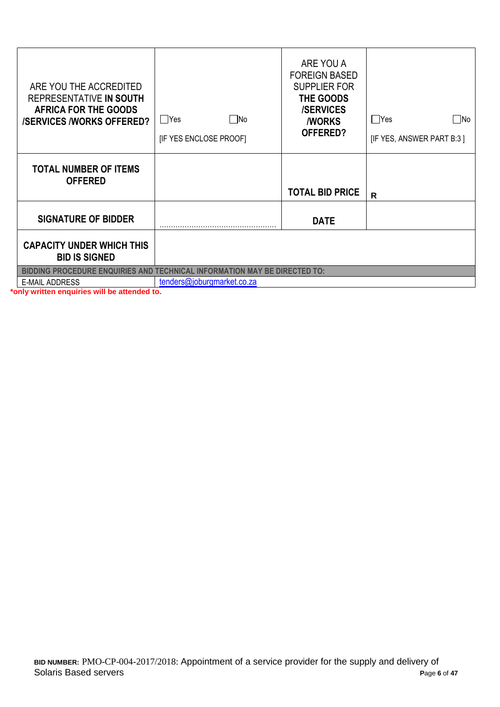| ARE YOU THE ACCREDITED<br>REPRESENTATIVE IN SOUTH<br><b>AFRICA FOR THE GOODS</b><br><b>/SERVICES /WORKS OFFERED?</b> | $\square$ No<br>$\Box$ Yes<br>[IF YES ENCLOSE PROOF] | ARE YOU A<br><b>FOREIGN BASED</b><br><b>SUPPLIER FOR</b><br>THE GOODS<br><b>/SERVICES</b><br><b><i>NORKS</i></b><br>OFFERED? | $\Box$ Yes<br>$\square$ No<br>[IF YES, ANSWER PART B:3] |
|----------------------------------------------------------------------------------------------------------------------|------------------------------------------------------|------------------------------------------------------------------------------------------------------------------------------|---------------------------------------------------------|
| <b>TOTAL NUMBER OF ITEMS</b><br><b>OFFERED</b>                                                                       |                                                      | <b>TOTAL BID PRICE</b>                                                                                                       | R                                                       |
| <b>SIGNATURE OF BIDDER</b>                                                                                           |                                                      | <b>DATE</b>                                                                                                                  |                                                         |
| <b>CAPACITY UNDER WHICH THIS</b><br><b>BID IS SIGNED</b>                                                             |                                                      |                                                                                                                              |                                                         |
| <b>BIDDING PROCEDURE ENQUIRIES AND TECHNICAL INFORMATION MAY BE DIRECTED TO:</b>                                     |                                                      |                                                                                                                              |                                                         |
| <b>E-MAIL ADDRESS</b>                                                                                                | tenders@joburgmarket.co.za                           |                                                                                                                              |                                                         |

**\*only written enquiries will be attended to.**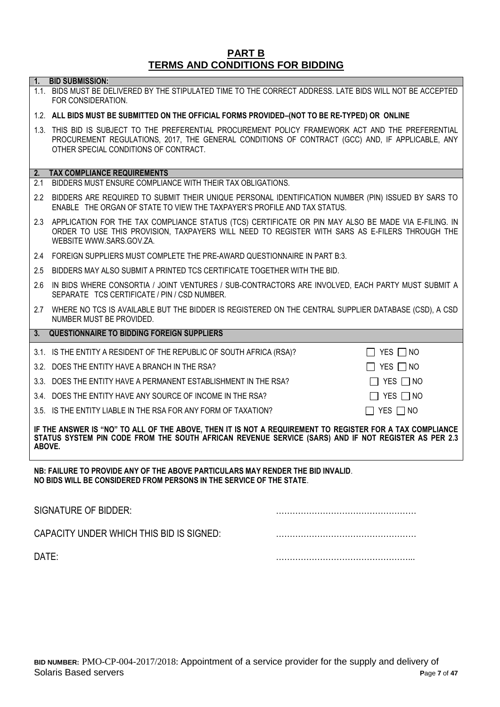#### **PART B TERMS AND CONDITIONS FOR BIDDING**

**1. BID SUBMISSION:**

# 1.1. BIDS MUST BE DELIVERED BY THE STIPULATED TIME TO THE CORRECT ADDRESS. LATE BIDS WILL NOT BE ACCEPTED FOR CONSIDERATION. 1.2. **ALL BIDS MUST BE SUBMITTED ON THE OFFICIAL FORMS PROVIDED–(NOT TO BE RE-TYPED) OR ONLINE** 1.3. THIS BID IS SUBJECT TO THE PREFERENTIAL PROCUREMENT POLICY FRAMEWORK ACT AND THE PREFERENTIAL PROCUREMENT REGULATIONS, 2017, THE GENERAL CONDITIONS OF CONTRACT (GCC) AND, IF APPLICABLE, ANY OTHER SPECIAL CONDITIONS OF CONTRACT. **2. TAX COMPLIANCE REQUIREMENTS** 2.1 BIDDERS MUST ENSURE COMPLIANCE WITH THEIR TAX OBLIGATIONS. 2.2 BIDDERS ARE REQUIRED TO SUBMIT THEIR UNIQUE PERSONAL IDENTIFICATION NUMBER (PIN) ISSUED BY SARS TO ENABLE THE ORGAN OF STATE TO VIEW THE TAXPAYER'S PROFILE AND TAX STATUS. 2.3 APPLICATION FOR THE TAX COMPLIANCE STATUS (TCS) CERTIFICATE OR PIN MAY ALSO BE MADE VIA E-FILING. IN ORDER TO USE THIS PROVISION, TAXPAYERS WILL NEED TO REGISTER WITH SARS AS E-FILERS THROUGH THE WEBSITE [WWW.SARS.GOV.ZA.](http://www.sars.gov.za/) 2.4 FOREIGN SUPPLIERS MUST COMPLETE THE PRE-AWARD QUESTIONNAIRE IN PART B:3. 2.5 BIDDERS MAY ALSO SUBMIT A PRINTED TCS CERTIFICATE TOGETHER WITH THE BID. 2.6 IN BIDS WHERE CONSORTIA / JOINT VENTURES / SUB-CONTRACTORS ARE INVOLVED, EACH PARTY MUST SUBMIT A SEPARATE TCS CERTIFICATE / PIN / CSD NUMBER. 2.7 WHERE NO TCS IS AVAILABLE BUT THE BIDDER IS REGISTERED ON THE CENTRAL SUPPLIER DATABASE (CSD), A CSD NUMBER MUST BE PROVIDED. **3. QUESTIONNAIRE TO BIDDING FOREIGN SUPPLIERS** 3.1. IS THE ENTITY A RESIDENT OF THE REPUBLIC OF SOUTH AFRICA (RSA)?  $\Box$  YES  $\Box$  NO 3.2. DOES THE ENTITY HAVE A BRANCH IN THE RSA?  $\Box$  YES  $\Box$  NO 3.3. DOES THE ENTITY HAVE A PERMANENT ESTABLISHMENT IN THE RSA?  $\Box$  YES  $\Box$  NO 3.4. DOES THE ENTITY HAVE ANY SOURCE OF INCOME IN THE RSA?  $\Box$  YES  $\Box$  NO 3.5. IS THE ENTITY LIABLE IN THE RSA FOR ANY FORM OF TAXATION?  $\Box$  YES  $\Box$  NO **IF THE ANSWER IS "NO" TO ALL OF THE ABOVE, THEN IT IS NOT A REQUIREMENT TO REGISTER FOR A TAX COMPLIANCE STATUS SYSTEM PIN CODE FROM THE SOUTH AFRICAN REVENUE SERVICE (SARS) AND IF NOT REGISTER AS PER 2.3 ABOVE.**

**NB: FAILURE TO PROVIDE ANY OF THE ABOVE PARTICULARS MAY RENDER THE BID INVALID**. **NO BIDS WILL BE CONSIDERED FROM PERSONS IN THE SERVICE OF THE STATE**.

| SIGNATURE OF BIDDER:                     |  |
|------------------------------------------|--|
| CAPACITY UNDER WHICH THIS BID IS SIGNED: |  |
| DATE:                                    |  |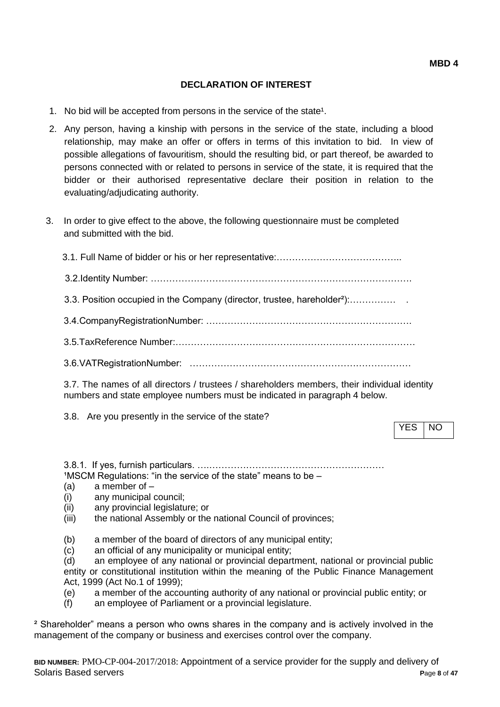## **DECLARATION OF INTEREST**

- 1. No bid will be accepted from persons in the service of the state<sup>1</sup>.
- 2. Any person, having a kinship with persons in the service of the state, including a blood relationship, may make an offer or offers in terms of this invitation to bid. In view of possible allegations of favouritism, should the resulting bid, or part thereof, be awarded to persons connected with or related to persons in service of the state, it is required that the bidder or their authorised representative declare their position in relation to the evaluating/adjudicating authority.
- 3. In order to give effect to the above, the following questionnaire must be completed and submitted with the bid.

| 3.3. Position occupied in the Company (director, trustee, hareholder <sup>2</sup> ): |
|--------------------------------------------------------------------------------------|
|                                                                                      |
|                                                                                      |
|                                                                                      |

3.7. The names of all directors / trustees / shareholders members, their individual identity numbers and state employee numbers must be indicated in paragraph 4 below.

3.8. Are you presently in the service of the state?

YES NO

3.8.1. If yes, furnish particulars. ….…………………………………………………  $1$ MSCM Regulations: "in the service of the state" means to be  $-$ 

- (a) a member of –
- (i) any municipal council;
- (ii) any provincial legislature; or
- (iii) the national Assembly or the national Council of provinces;
- (b) a member of the board of directors of any municipal entity;
- (c) an official of any municipality or municipal entity;

(d) an employee of any national or provincial department, national or provincial public entity or constitutional institution within the meaning of the Public Finance Management Act, 1999 (Act No.1 of 1999);

(e) a member of the accounting authority of any national or provincial public entity; or

(f) an employee of Parliament or a provincial legislature.

² Shareholder" means a person who owns shares in the company and is actively involved in the management of the company or business and exercises control over the company.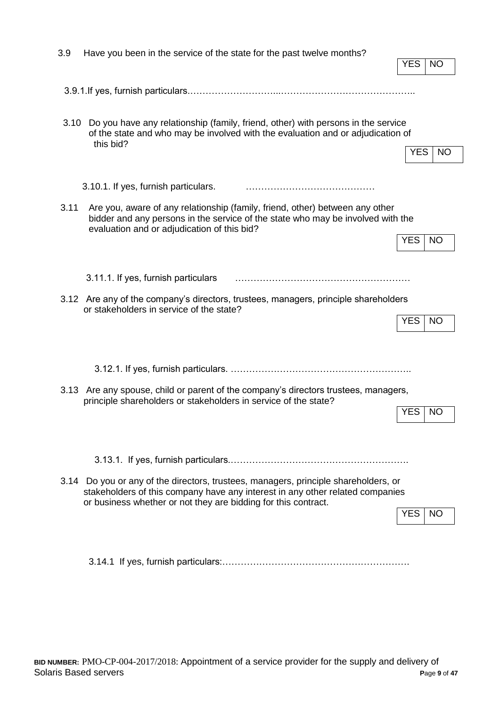| 3.9                                                                                                                                                                                                                                                  | Have you been in the service of the state for the past twelve months?                                                                                                                                          |            |           |
|------------------------------------------------------------------------------------------------------------------------------------------------------------------------------------------------------------------------------------------------------|----------------------------------------------------------------------------------------------------------------------------------------------------------------------------------------------------------------|------------|-----------|
|                                                                                                                                                                                                                                                      |                                                                                                                                                                                                                | YES        | ΝO        |
|                                                                                                                                                                                                                                                      |                                                                                                                                                                                                                |            |           |
| 3.10                                                                                                                                                                                                                                                 | Do you have any relationship (family, friend, other) with persons in the service<br>of the state and who may be involved with the evaluation and or adjudication of<br>this bid?                               | <b>YES</b> | NO.       |
|                                                                                                                                                                                                                                                      | 3.10.1. If yes, furnish particulars.                                                                                                                                                                           |            |           |
| 3.11                                                                                                                                                                                                                                                 | Are you, aware of any relationship (family, friend, other) between any other<br>bidder and any persons in the service of the state who may be involved with the<br>evaluation and or adjudication of this bid? |            |           |
|                                                                                                                                                                                                                                                      |                                                                                                                                                                                                                | YES        | <b>NO</b> |
|                                                                                                                                                                                                                                                      | 3.11.1. If yes, furnish particulars                                                                                                                                                                            |            |           |
|                                                                                                                                                                                                                                                      | 3.12 Are any of the company's directors, trustees, managers, principle shareholders<br>or stakeholders in service of the state?                                                                                | <b>YES</b> | <b>NO</b> |
|                                                                                                                                                                                                                                                      |                                                                                                                                                                                                                |            |           |
|                                                                                                                                                                                                                                                      |                                                                                                                                                                                                                |            |           |
|                                                                                                                                                                                                                                                      | 3.13 Are any spouse, child or parent of the company's directors trustees, managers,<br>principle shareholders or stakeholders in service of the state?                                                         |            |           |
|                                                                                                                                                                                                                                                      |                                                                                                                                                                                                                | YES        | NO        |
|                                                                                                                                                                                                                                                      |                                                                                                                                                                                                                |            |           |
| 3.14 Do you or any of the directors, trustees, managers, principle shareholders, or<br>stakeholders of this company have any interest in any other related companies<br>or business whether or not they are bidding for this contract.<br><b>YES</b> |                                                                                                                                                                                                                |            |           |
|                                                                                                                                                                                                                                                      |                                                                                                                                                                                                                |            | <b>NO</b> |
|                                                                                                                                                                                                                                                      |                                                                                                                                                                                                                |            |           |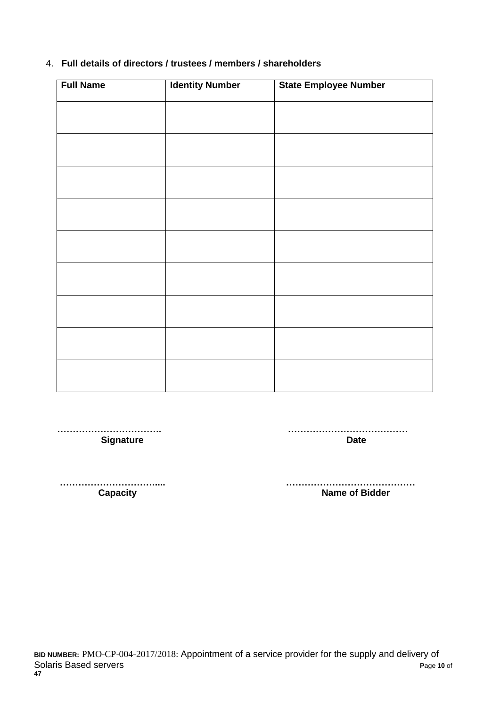#### 4. **Full details of directors / trustees / members / shareholders**

| <b>Full Name</b> | <b>Identity Number</b> | <b>State Employee Number</b> |
|------------------|------------------------|------------------------------|
|                  |                        |                              |
|                  |                        |                              |
|                  |                        |                              |
|                  |                        |                              |
|                  |                        |                              |
|                  |                        |                              |
|                  |                        |                              |
|                  |                        |                              |
|                  |                        |                              |
|                  |                        |                              |
|                  |                        |                              |
|                  |                        |                              |
|                  |                        |                              |
|                  |                        |                              |
|                  |                        |                              |
|                  |                        |                              |
|                  |                        |                              |

 **……………………………. ………………………………… Signature Date** 

 **…………………………..... …………………………………… Name of Bidder**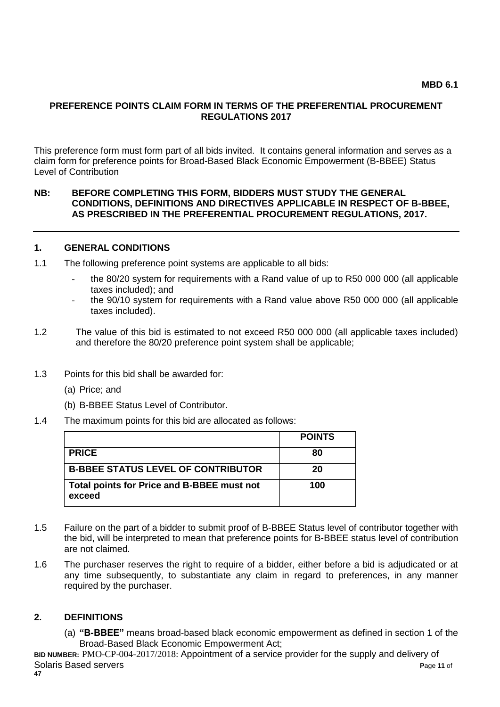#### **PREFERENCE POINTS CLAIM FORM IN TERMS OF THE PREFERENTIAL PROCUREMENT REGULATIONS 2017**

This preference form must form part of all bids invited. It contains general information and serves as a claim form for preference points for Broad-Based Black Economic Empowerment (B-BBEE) Status Level of Contribution

#### **NB: BEFORE COMPLETING THIS FORM, BIDDERS MUST STUDY THE GENERAL CONDITIONS, DEFINITIONS AND DIRECTIVES APPLICABLE IN RESPECT OF B-BBEE, AS PRESCRIBED IN THE PREFERENTIAL PROCUREMENT REGULATIONS, 2017.**

#### **1. GENERAL CONDITIONS**

- 1.1 The following preference point systems are applicable to all bids:
	- the 80/20 system for requirements with a Rand value of up to R50 000 000 (all applicable taxes included); and
	- the 90/10 system for requirements with a Rand value above R50 000 000 (all applicable taxes included).
- 1.2 The value of this bid is estimated to not exceed R50 000 000 (all applicable taxes included) and therefore the 80/20 preference point system shall be applicable;
- 1.3 Points for this bid shall be awarded for:
	- (a) Price; and
	- (b) B-BBEE Status Level of Contributor.
- 1.4 The maximum points for this bid are allocated as follows:

|                                                      | <b>POINTS</b> |
|------------------------------------------------------|---------------|
| <b>PRICE</b>                                         | 80            |
| <b>B-BBEE STATUS LEVEL OF CONTRIBUTOR</b>            | 20            |
| Total points for Price and B-BBEE must not<br>exceed | 100           |

- 1.5 Failure on the part of a bidder to submit proof of B-BBEE Status level of contributor together with the bid, will be interpreted to mean that preference points for B-BBEE status level of contribution are not claimed.
- 1.6 The purchaser reserves the right to require of a bidder, either before a bid is adjudicated or at any time subsequently, to substantiate any claim in regard to preferences, in any manner required by the purchaser.

#### **2. DEFINITIONS**

(a) **"B-BBEE"** means broad-based black economic empowerment as defined in section 1 of the Broad-Based Black Economic Empowerment Act;

**BID NUMBER:** PMO-CP-004-2017/2018: Appointment of a service provider for the supply and delivery of Solaris Based servers **P**age **11** of **47**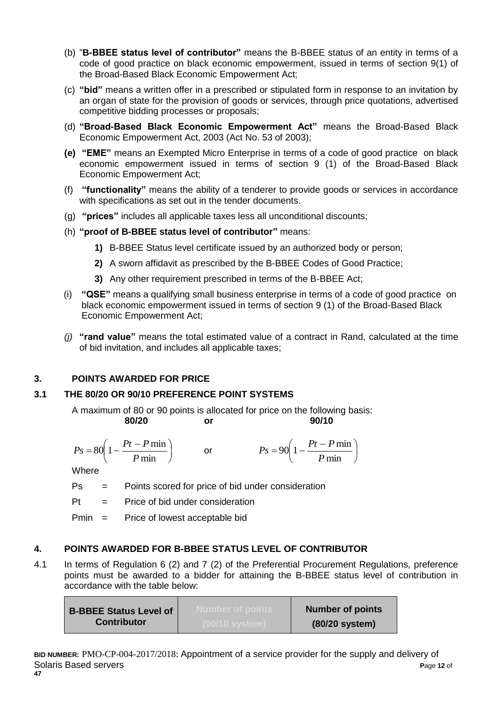- (b) "**B-BBEE status level of contributor"** means the B-BBEE status of an entity in terms of a code of good practice on black economic empowerment, issued in terms of section 9(1) of the Broad-Based Black Economic Empowerment Act;
- (c) **"bid"** means a written offer in a prescribed or stipulated form in response to an invitation by an organ of state for the provision of goods or services, through price quotations, advertised competitive bidding processes or proposals;
- (d) **"Broad-Based Black Economic Empowerment Act"** means the Broad-Based Black Economic Empowerment Act, 2003 (Act No. 53 of 2003);
- **(e) "EME"** means an Exempted Micro Enterprise in terms of a code of good practice on black economic empowerment issued in terms of section 9 (1) of the Broad-Based Black Economic Empowerment Act;
- (f) **"functionality"** means the ability of a tenderer to provide goods or services in accordance with specifications as set out in the tender documents.
- (g) **"prices"** includes all applicable taxes less all unconditional discounts;
- (h) **"proof of B-BBEE status level of contributor"** means:
	- **1)** B-BBEE Status level certificate issued by an authorized body or person;
	- **2)** A sworn affidavit as prescribed by the B-BBEE Codes of Good Practice;
	- **3)** Any other requirement prescribed in terms of the B-BBEE Act;
- (i) **"QSE"** means a qualifying small business enterprise in terms of a code of good practice on black economic empowerment issued in terms of section 9 (1) of the Broad-Based Black Economic Empowerment Act;
- *(j)* **"rand value"** means the total estimated value of a contract in Rand, calculated at the time of bid invitation, and includes all applicable taxes;

## **3. POINTS AWARDED FOR PRICE**

## **3.1 THE 80/20 OR 90/10 PREFERENCE POINT SYSTEMS**

A maximum of 80 or 90 points is allocated for price on the following basis:

$$
\mathsf{or}\,
$$

**80/20 or 90/10**

$$
Ps = 80\left(1 - \frac{Pt - P \min P}{ \min}\right) \qquad \text{or} \qquad \qquad Ps = 90\left(1 - \frac{Pt - P \min P}{ \min}\right)
$$

**Where** 

Ps = Points scored for price of bid under consideration

 $Pt =$  Price of bid under consideration

Pmin = Price of lowest acceptable bid

## **4. POINTS AWARDED FOR B-BBEE STATUS LEVEL OF CONTRIBUTOR**

4.1 In terms of Regulation 6 (2) and 7 (2) of the Preferential Procurement Regulations, preference points must be awarded to a bidder for attaining the B-BBEE status level of contribution in accordance with the table below:

| <b>B-BBEE Status Level of</b> | <b>Number of points</b> |
|-------------------------------|-------------------------|
| <b>Contributor</b>            | $(80/20$ system)        |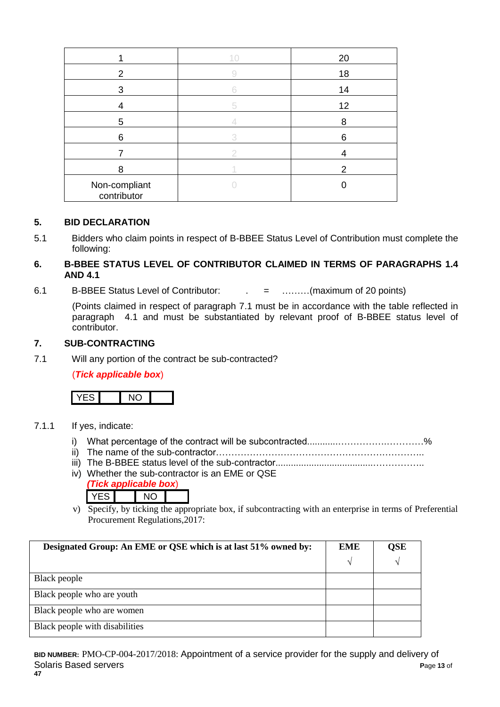|                              | 10 | 20 |
|------------------------------|----|----|
| 2                            |    | 18 |
| 3                            |    | 14 |
| 4                            | 5  | 12 |
| 5                            |    | 8  |
| 6                            |    | 6  |
|                              |    |    |
| 8                            |    | 2  |
| Non-compliant<br>contributor |    |    |

#### **5. BID DECLARATION**

5.1 Bidders who claim points in respect of B-BBEE Status Level of Contribution must complete the following:

#### **6. B-BBEE STATUS LEVEL OF CONTRIBUTOR CLAIMED IN TERMS OF PARAGRAPHS 1.4 AND 4.1**

6.1 B-BBEE Status Level of Contributor: . = ………(maximum of 20 points)

(Points claimed in respect of paragraph 7.1 must be in accordance with the table reflected in paragraph 4.1 and must be substantiated by relevant proof of B-BBEE status level of contributor.

#### **7. SUB-CONTRACTING**

7.1 Will any portion of the contract be sub-contracted?

#### (*Tick applicable box*)



#### 7.1.1 If yes, indicate:

- i) What percentage of the contract will be subcontracted............…………….…………%
- ii) The name of the sub-contractor…………………………………………………………..
- iii) The B-BBEE status level of the sub-contractor......................................……………..
- iv) Whether the sub-contractor is an EME or QSE *(Tick applicable box*)

| ------ |  |  |
|--------|--|--|
|        |  |  |
|        |  |  |

v) Specify, by ticking the appropriate box, if subcontracting with an enterprise in terms of Preferential Procurement Regulations,2017:

| Designated Group: An EME or QSE which is at last 51% owned by: | <b>EME</b> | QSE |
|----------------------------------------------------------------|------------|-----|
|                                                                | ٦          |     |
| Black people                                                   |            |     |
| Black people who are youth                                     |            |     |
| Black people who are women                                     |            |     |
| Black people with disabilities                                 |            |     |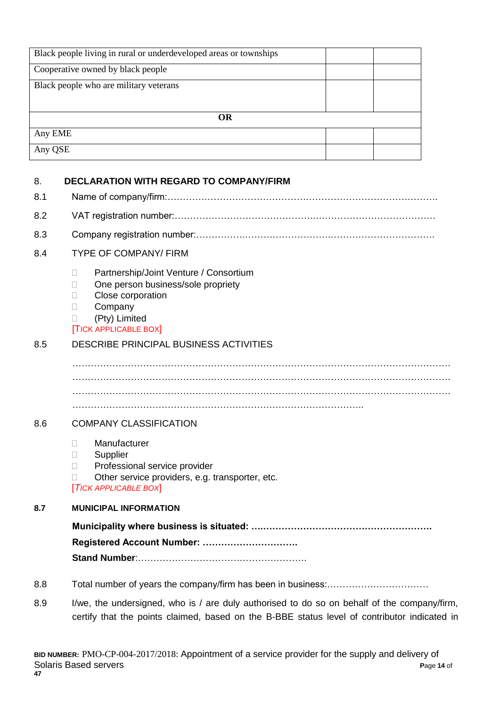| Black people living in rural or underdeveloped areas or townships |  |  |
|-------------------------------------------------------------------|--|--|
| Cooperative owned by black people                                 |  |  |
| Black people who are military veterans                            |  |  |
|                                                                   |  |  |
| <b>OR</b>                                                         |  |  |
| Any EME                                                           |  |  |
| Any QSE                                                           |  |  |
|                                                                   |  |  |
| DECLARATION WITH REGARD TO COMPANY/FIRM<br>я                      |  |  |

| o.  | DECEANATION WITH NEGAND TO COMPANT/FINM                                                                                                                                              |  |  |
|-----|--------------------------------------------------------------------------------------------------------------------------------------------------------------------------------------|--|--|
| 8.1 |                                                                                                                                                                                      |  |  |
| 8.2 |                                                                                                                                                                                      |  |  |
| 8.3 |                                                                                                                                                                                      |  |  |
| 8.4 | <b>TYPE OF COMPANY/ FIRM</b>                                                                                                                                                         |  |  |
|     | Partnership/Joint Venture / Consortium<br>$\Box$<br>One person business/sole propriety<br>П<br>Close corporation<br>П<br>Company<br>П<br>(Pty) Limited<br><b>TICK APPLICABLE BOX</b> |  |  |
| 8.5 | <b>DESCRIBE PRINCIPAL BUSINESS ACTIVITIES</b>                                                                                                                                        |  |  |
|     |                                                                                                                                                                                      |  |  |
| 8.6 | <b>COMPANY CLASSIFICATION</b>                                                                                                                                                        |  |  |
|     | Manufacturer<br>П<br>Supplier<br>П.<br>Professional service provider<br>П<br>Other service providers, e.g. transporter, etc.<br><b>TICK APPLICABLE BOX</b>                           |  |  |
| 8.7 | <b>MUNICIPAL INFORMATION</b>                                                                                                                                                         |  |  |
|     |                                                                                                                                                                                      |  |  |
|     | Registered Account Number:                                                                                                                                                           |  |  |

**Stand Number**:……………………………………………….

- 8.8 Total number of years the company/firm has been in business:……………………………
- 8.9 I/we, the undersigned, who is / are duly authorised to do so on behalf of the company/firm, certify that the points claimed, based on the B-BBE status level of contributor indicated in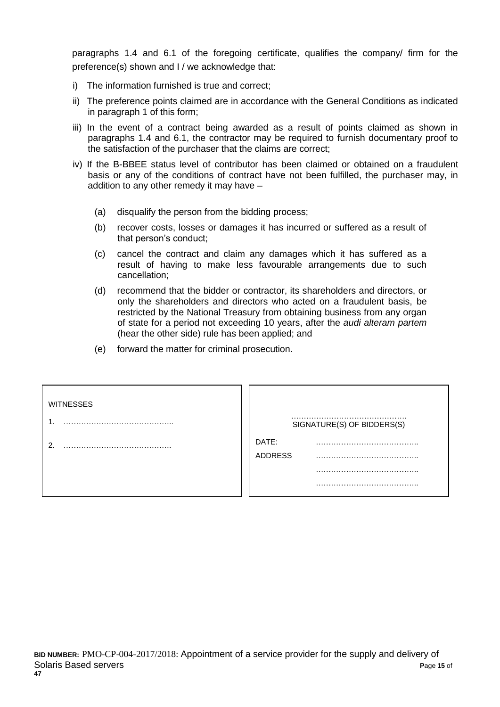paragraphs 1.4 and 6.1 of the foregoing certificate, qualifies the company/ firm for the preference(s) shown and I / we acknowledge that:

- i) The information furnished is true and correct;
- ii) The preference points claimed are in accordance with the General Conditions as indicated in paragraph 1 of this form;
- iii) In the event of a contract being awarded as a result of points claimed as shown in paragraphs 1.4 and 6.1, the contractor may be required to furnish documentary proof to the satisfaction of the purchaser that the claims are correct;
- iv) If the B-BBEE status level of contributor has been claimed or obtained on a fraudulent basis or any of the conditions of contract have not been fulfilled, the purchaser may, in addition to any other remedy it may have –
	- (a) disqualify the person from the bidding process;
	- (b) recover costs, losses or damages it has incurred or suffered as a result of that person's conduct;
	- (c) cancel the contract and claim any damages which it has suffered as a result of having to make less favourable arrangements due to such cancellation;
	- (d) recommend that the bidder or contractor, its shareholders and directors, or only the shareholders and directors who acted on a fraudulent basis, be restricted by the National Treasury from obtaining business from any organ of state for a period not exceeding 10 years, after the *audi alteram partem* (hear the other side) rule has been applied; and
	- (e) forward the matter for criminal prosecution.

| <b>WITNESSES</b> |                            |
|------------------|----------------------------|
|                  | SIGNATURE(S) OF BIDDERS(S) |
|                  | DATE:                      |
|                  | <b>ADDRESS</b>             |
|                  |                            |
|                  |                            |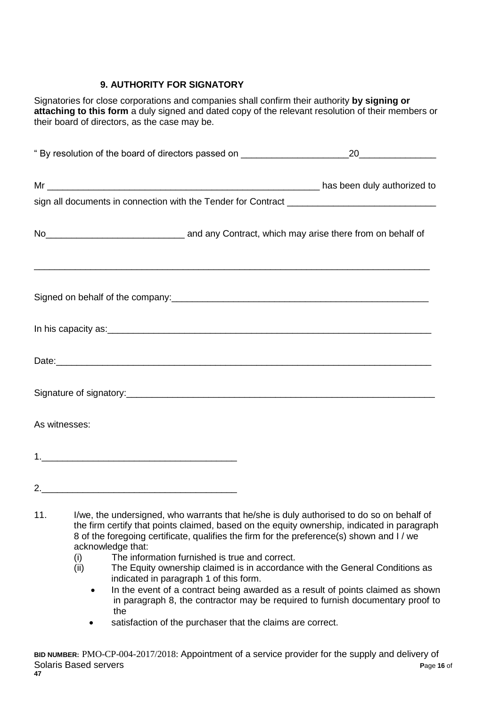# **9. AUTHORITY FOR SIGNATORY**

Signatories for close corporations and companies shall confirm their authority **by signing or attaching to this form** a duly signed and dated copy of the relevant resolution of their members or their board of directors, as the case may be.

| No <sub>__________________________________</sub> and any Contract, which may arise there from on behalf of                                                                                                                           |                                                                                                                 |                                                                                              |
|--------------------------------------------------------------------------------------------------------------------------------------------------------------------------------------------------------------------------------------|-----------------------------------------------------------------------------------------------------------------|----------------------------------------------------------------------------------------------|
|                                                                                                                                                                                                                                      |                                                                                                                 |                                                                                              |
| In his capacity as: <u>example and a set of the set of the set of the set of the set of the set of the set of the set of the set of the set of the set of the set of the set of the set of the set of the set of the set of the </u> |                                                                                                                 |                                                                                              |
|                                                                                                                                                                                                                                      |                                                                                                                 |                                                                                              |
|                                                                                                                                                                                                                                      |                                                                                                                 |                                                                                              |
| As witnesses:                                                                                                                                                                                                                        |                                                                                                                 |                                                                                              |
|                                                                                                                                                                                                                                      |                                                                                                                 |                                                                                              |
|                                                                                                                                                                                                                                      |                                                                                                                 |                                                                                              |
|                                                                                                                                                                                                                                      | the contract of the contract of the contract of the contract of the contract of the contract of the contract of | 11. I/we, the undersigned, who warrants that he/she is duly authorised to do so on behalf of |

- the firm certify that points claimed, based on the equity ownership, indicated in paragraph 8 of the foregoing certificate, qualifies the firm for the preference(s) shown and I / we acknowledge that:
	- (i) The information furnished is true and correct.
	- (ii) The Equity ownership claimed is in accordance with the General Conditions as indicated in paragraph 1 of this form.
		- In the event of a contract being awarded as a result of points claimed as shown in paragraph 8, the contractor may be required to furnish documentary proof to the
		- satisfaction of the purchaser that the claims are correct.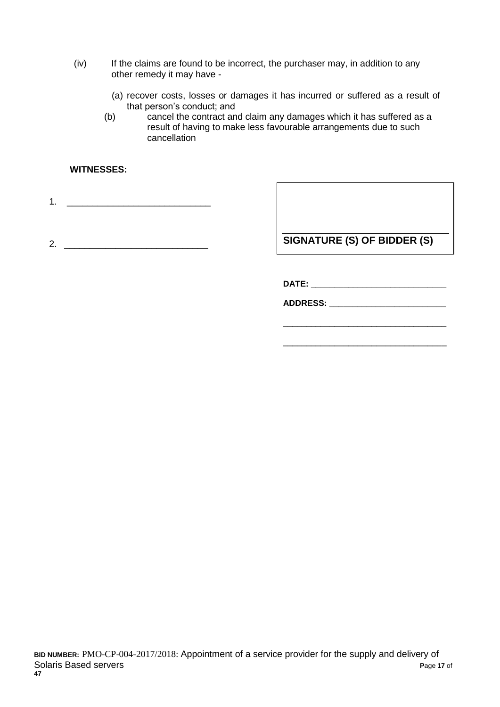- (iv) If the claims are found to be incorrect, the purchaser may, in addition to any other remedy it may have -
	- (a) recover costs, losses or damages it has incurred or suffered as a result of that person's conduct; and
	- (b) cancel the contract and claim any damages which it has suffered as a result of having to make less favourable arrangements due to such cancellation

#### **WITNESSES:**

1. \_\_\_\_\_\_\_\_\_\_\_\_\_\_\_\_\_\_\_\_\_\_\_\_\_\_\_\_

2. **In the set of the set of the set of the SIGNATURE (S) OF BIDDER (S)** 

\_\_\_\_\_\_\_\_\_\_\_\_\_\_\_\_\_\_\_\_\_\_\_\_\_\_\_\_\_\_\_\_\_\_\_

\_\_\_\_\_\_\_\_\_\_\_\_\_\_\_\_\_\_\_\_\_\_\_\_\_\_\_\_\_\_\_\_\_\_\_

**DATE: \_\_\_\_\_\_\_\_\_\_\_\_\_\_\_\_\_\_\_\_\_\_\_\_\_\_\_\_\_**

**ADDRESS: \_\_\_\_\_\_\_\_\_\_\_\_\_\_\_\_\_\_\_\_\_\_\_\_\_**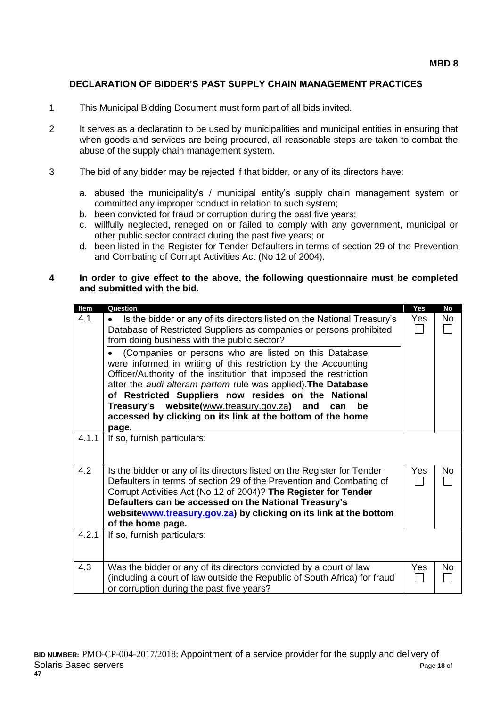#### **DECLARATION OF BIDDER'S PAST SUPPLY CHAIN MANAGEMENT PRACTICES**

- 1 This Municipal Bidding Document must form part of all bids invited.
- 2 It serves as a declaration to be used by municipalities and municipal entities in ensuring that when goods and services are being procured, all reasonable steps are taken to combat the abuse of the supply chain management system.
- 3 The bid of any bidder may be rejected if that bidder, or any of its directors have:
	- a. abused the municipality's / municipal entity's supply chain management system or committed any improper conduct in relation to such system;
	- b. been convicted for fraud or corruption during the past five years;
	- c. willfully neglected, reneged on or failed to comply with any government, municipal or other public sector contract during the past five years; or
	- d. been listed in the Register for Tender Defaulters in terms of section 29 of the Prevention and Combating of Corrupt Activities Act (No 12 of 2004).

#### **4 In order to give effect to the above, the following questionnaire must be completed and submitted with the bid.**

| Item  | Question                                                                                                                                        | Yes | <b>No</b> |
|-------|-------------------------------------------------------------------------------------------------------------------------------------------------|-----|-----------|
| 4.1   | Is the bidder or any of its directors listed on the National Treasury's<br>$\bullet$                                                            | Yes | No        |
|       | Database of Restricted Suppliers as companies or persons prohibited                                                                             |     |           |
|       | from doing business with the public sector?                                                                                                     |     |           |
|       | (Companies or persons who are listed on this Database                                                                                           |     |           |
|       | were informed in writing of this restriction by the Accounting                                                                                  |     |           |
|       | Officer/Authority of the institution that imposed the restriction<br>after the audi alteram partem rule was applied). The Database              |     |           |
|       | of Restricted Suppliers now resides on the National                                                                                             |     |           |
|       | Treasury's website(www.treasury.gov.za) and<br>be<br>can                                                                                        |     |           |
|       | accessed by clicking on its link at the bottom of the home                                                                                      |     |           |
|       | page.                                                                                                                                           |     |           |
| 4.1.1 | If so, furnish particulars:                                                                                                                     |     |           |
|       |                                                                                                                                                 |     |           |
|       |                                                                                                                                                 |     |           |
| 4.2   | Is the bidder or any of its directors listed on the Register for Tender<br>Defaulters in terms of section 29 of the Prevention and Combating of | Yes | <b>No</b> |
|       | Corrupt Activities Act (No 12 of 2004)? The Register for Tender                                                                                 |     |           |
|       | Defaulters can be accessed on the National Treasury's                                                                                           |     |           |
|       | websitewww.treasury.gov.za) by clicking on its link at the bottom                                                                               |     |           |
|       | of the home page.                                                                                                                               |     |           |
| 4.2.1 | If so, furnish particulars:                                                                                                                     |     |           |
|       |                                                                                                                                                 |     |           |
|       |                                                                                                                                                 |     |           |
| 4.3   | Was the bidder or any of its directors convicted by a court of law                                                                              | Yes | No        |
|       | (including a court of law outside the Republic of South Africa) for fraud<br>or corruption during the past five years?                          |     |           |
|       |                                                                                                                                                 |     |           |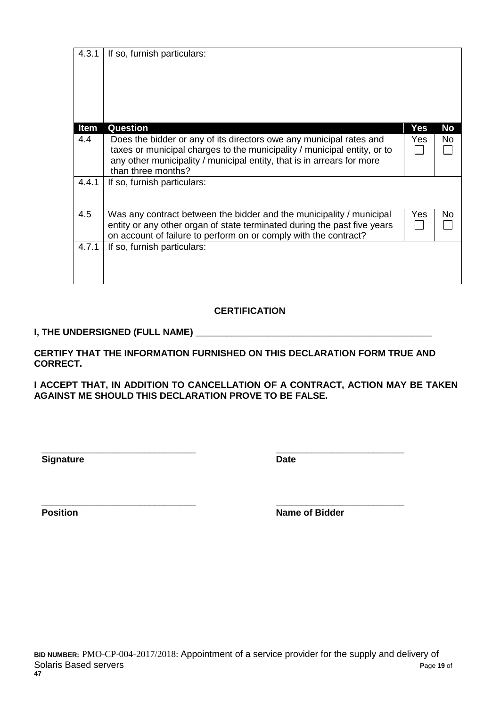| 4.3.1 | If so, furnish particulars:                                                                                                                                                                                                                     |      |     |
|-------|-------------------------------------------------------------------------------------------------------------------------------------------------------------------------------------------------------------------------------------------------|------|-----|
| Item  | Question                                                                                                                                                                                                                                        | Yes  | No  |
| 4.4   | Does the bidder or any of its directors owe any municipal rates and<br>taxes or municipal charges to the municipality / municipal entity, or to<br>any other municipality / municipal entity, that is in arrears for more<br>than three months? | Yes. | No. |
| 4.4.1 | If so, furnish particulars:                                                                                                                                                                                                                     |      |     |
| 4.5   | Was any contract between the bidder and the municipality / municipal<br>entity or any other organ of state terminated during the past five years<br>on account of failure to perform on or comply with the contract?                            | Yes  | No  |
| 4.7.1 | If so, furnish particulars:                                                                                                                                                                                                                     |      |     |

## **CERTIFICATION**

## **I, THE UNDERSIGNED (FULL NAME) \_\_\_\_\_\_\_\_\_\_\_\_\_\_\_\_\_\_\_\_\_\_\_\_\_\_\_\_\_\_\_\_\_\_\_\_\_\_\_\_\_\_\_\_\_\_**

**CERTIFY THAT THE INFORMATION FURNISHED ON THIS DECLARATION FORM TRUE AND CORRECT.**

**I ACCEPT THAT, IN ADDITION TO CANCELLATION OF A CONTRACT, ACTION MAY BE TAKEN AGAINST ME SHOULD THIS DECLARATION PROVE TO BE FALSE.**

**Signature Date** 

**\_\_\_\_\_\_\_\_\_\_\_\_\_\_\_\_\_\_\_\_\_\_\_\_\_\_\_\_\_\_ \_\_\_\_\_\_\_\_\_\_\_\_\_\_\_\_\_\_\_\_\_\_\_\_\_**

**\_\_\_\_\_\_\_\_\_\_\_\_\_\_\_\_\_\_\_\_\_\_\_\_\_\_\_\_\_\_ \_\_\_\_\_\_\_\_\_\_\_\_\_\_\_\_\_\_\_\_\_\_\_\_\_ Position Name of Bidder**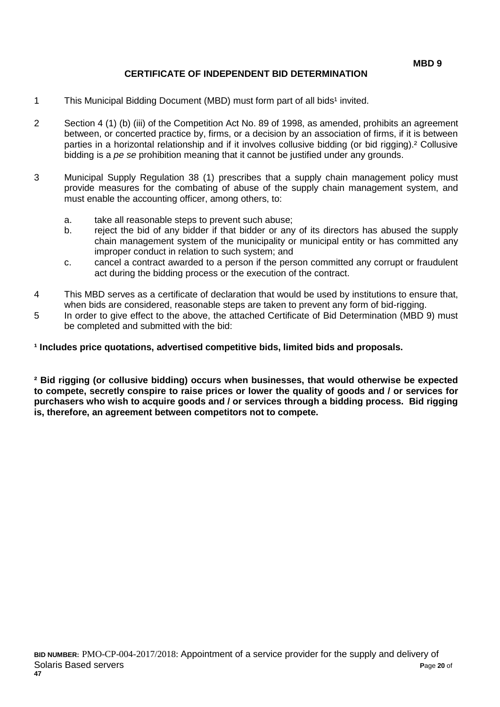#### **CERTIFICATE OF INDEPENDENT BID DETERMINATION**

- 1 This Municipal Bidding Document (MBD) must form part of all bids<sup>1</sup> invited.
- 2 Section 4 (1) (b) (iii) of the Competition Act No. 89 of 1998, as amended, prohibits an agreement between, or concerted practice by, firms, or a decision by an association of firms, if it is between parties in a horizontal relationship and if it involves collusive bidding (or bid rigging).² Collusive bidding is a *pe se* prohibition meaning that it cannot be justified under any grounds.
- 3 Municipal Supply Regulation 38 (1) prescribes that a supply chain management policy must provide measures for the combating of abuse of the supply chain management system, and must enable the accounting officer, among others, to:
	- a. take all reasonable steps to prevent such abuse;
	- b. reject the bid of any bidder if that bidder or any of its directors has abused the supply chain management system of the municipality or municipal entity or has committed any improper conduct in relation to such system; and
	- c. cancel a contract awarded to a person if the person committed any corrupt or fraudulent act during the bidding process or the execution of the contract.
- 4 This MBD serves as a certificate of declaration that would be used by institutions to ensure that, when bids are considered, reasonable steps are taken to prevent any form of bid-rigging.
- 5 In order to give effect to the above, the attached Certificate of Bid Determination (MBD 9) must be completed and submitted with the bid:

**¹ Includes price quotations, advertised competitive bids, limited bids and proposals.**

**² Bid rigging (or collusive bidding) occurs when businesses, that would otherwise be expected to compete, secretly conspire to raise prices or lower the quality of goods and / or services for purchasers who wish to acquire goods and / or services through a bidding process. Bid rigging is, therefore, an agreement between competitors not to compete.**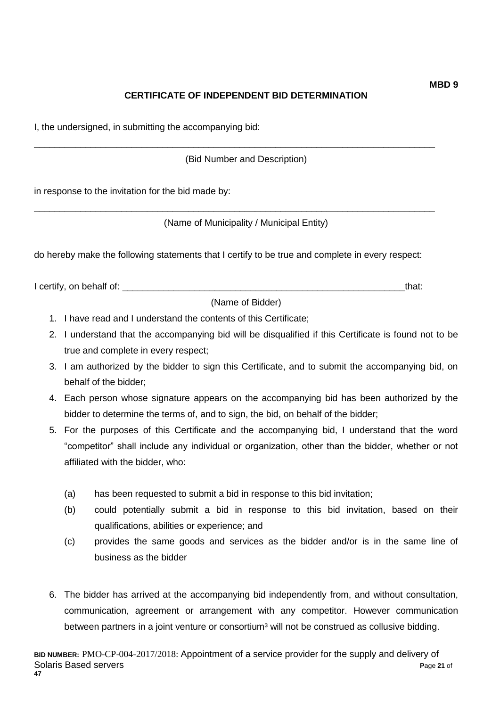# **CERTIFICATE OF INDEPENDENT BID DETERMINATION**

I, the undersigned, in submitting the accompanying bid:

(Bid Number and Description)

\_\_\_\_\_\_\_\_\_\_\_\_\_\_\_\_\_\_\_\_\_\_\_\_\_\_\_\_\_\_\_\_\_\_\_\_\_\_\_\_\_\_\_\_\_\_\_\_\_\_\_\_\_\_\_\_\_\_\_\_\_\_\_\_\_\_\_\_\_\_\_\_\_\_\_\_\_\_

\_\_\_\_\_\_\_\_\_\_\_\_\_\_\_\_\_\_\_\_\_\_\_\_\_\_\_\_\_\_\_\_\_\_\_\_\_\_\_\_\_\_\_\_\_\_\_\_\_\_\_\_\_\_\_\_\_\_\_\_\_\_\_\_\_\_\_\_\_\_\_\_\_\_\_\_\_\_

in response to the invitation for the bid made by:

(Name of Municipality / Municipal Entity)

do hereby make the following statements that I certify to be true and complete in every respect:

I certify, on behalf of: the state of the state of the state of the state of the state of the state of the state of the state of the state of the state of the state of the state of the state of the state of the state of th

(Name of Bidder)

- 1. I have read and I understand the contents of this Certificate;
- 2. I understand that the accompanying bid will be disqualified if this Certificate is found not to be true and complete in every respect;
- 3. I am authorized by the bidder to sign this Certificate, and to submit the accompanying bid, on behalf of the bidder;
- 4. Each person whose signature appears on the accompanying bid has been authorized by the bidder to determine the terms of, and to sign, the bid, on behalf of the bidder;
- 5. For the purposes of this Certificate and the accompanying bid, I understand that the word "competitor" shall include any individual or organization, other than the bidder, whether or not affiliated with the bidder, who:
	- (a) has been requested to submit a bid in response to this bid invitation;
	- (b) could potentially submit a bid in response to this bid invitation, based on their qualifications, abilities or experience; and
	- (c) provides the same goods and services as the bidder and/or is in the same line of business as the bidder
- 6. The bidder has arrived at the accompanying bid independently from, and without consultation, communication, agreement or arrangement with any competitor. However communication between partners in a joint venture or consortium<sup>3</sup> will not be construed as collusive bidding.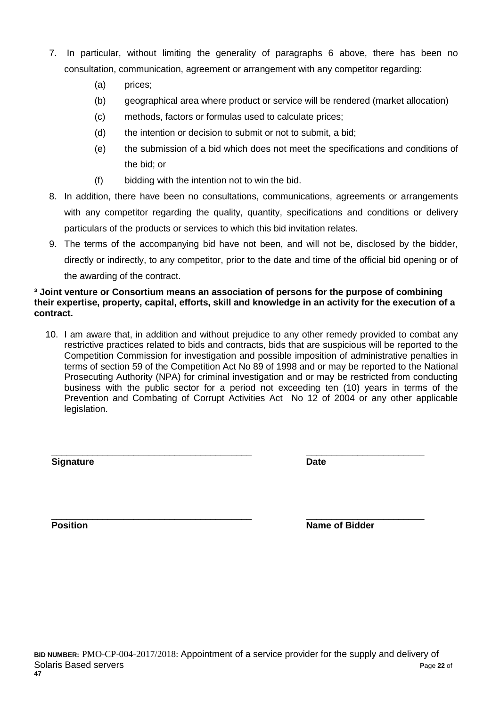- 7. In particular, without limiting the generality of paragraphs 6 above, there has been no consultation, communication, agreement or arrangement with any competitor regarding:
	- (a) prices;
	- (b) geographical area where product or service will be rendered (market allocation)
	- (c) methods, factors or formulas used to calculate prices;
	- (d) the intention or decision to submit or not to submit, a bid;
	- (e) the submission of a bid which does not meet the specifications and conditions of the bid; or
	- (f) bidding with the intention not to win the bid.
- 8. In addition, there have been no consultations, communications, agreements or arrangements with any competitor regarding the quality, quantity, specifications and conditions or delivery particulars of the products or services to which this bid invitation relates.
- 9. The terms of the accompanying bid have not been, and will not be, disclosed by the bidder, directly or indirectly, to any competitor, prior to the date and time of the official bid opening or of the awarding of the contract.

#### **³ Joint venture or Consortium means an association of persons for the purpose of combining their expertise, property, capital, efforts, skill and knowledge in an activity for the execution of a contract.**

10. I am aware that, in addition and without prejudice to any other remedy provided to combat any restrictive practices related to bids and contracts, bids that are suspicious will be reported to the Competition Commission for investigation and possible imposition of administrative penalties in terms of section 59 of the Competition Act No 89 of 1998 and or may be reported to the National Prosecuting Authority (NPA) for criminal investigation and or may be restricted from conducting business with the public sector for a period not exceeding ten (10) years in terms of the Prevention and Combating of Corrupt Activities Act No 12 of 2004 or any other applicable legislation.

**Signature Date**

\_\_\_\_\_\_\_\_\_\_\_\_\_\_\_\_\_\_\_\_\_\_\_\_\_\_\_\_\_\_\_\_\_\_\_\_\_\_\_ \_\_\_\_\_\_\_\_\_\_\_\_\_\_\_\_\_\_\_\_\_\_\_

\_\_\_\_\_\_\_\_\_\_\_\_\_\_\_\_\_\_\_\_\_\_\_\_\_\_\_\_\_\_\_\_\_\_\_\_\_\_\_ \_\_\_\_\_\_\_\_\_\_\_\_\_\_\_\_\_\_\_\_\_\_\_ **Position Position Name of Bidder**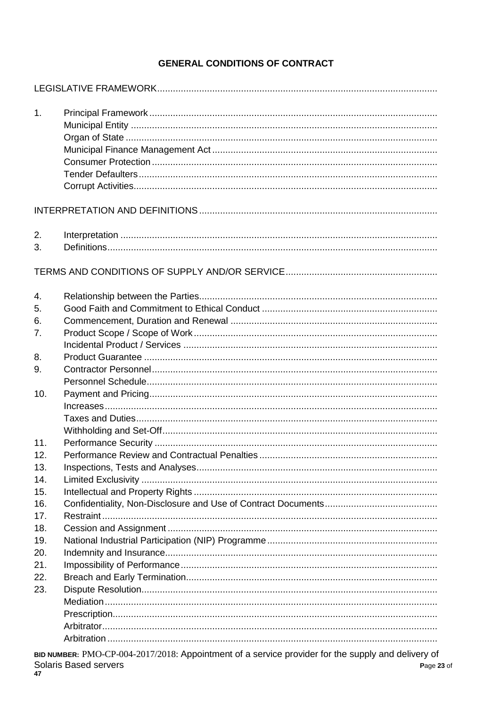# **GENERAL CONDITIONS OF CONTRACT**

| 1.  |  |
|-----|--|
|     |  |
|     |  |
|     |  |
|     |  |
|     |  |
|     |  |
| 2.  |  |
| 3.  |  |
|     |  |
|     |  |
| 4.  |  |
| 5.  |  |
| 6.  |  |
| 7.  |  |
|     |  |
| 8.  |  |
| 9.  |  |
|     |  |
| 10. |  |
|     |  |
|     |  |
|     |  |
| 11. |  |
| 12. |  |
| 13. |  |
| 14. |  |
| 15. |  |
| 16. |  |
| 17. |  |
| 18. |  |
| 19. |  |
| 20. |  |
| 21. |  |
| 22. |  |
| 23. |  |
|     |  |
|     |  |
|     |  |
|     |  |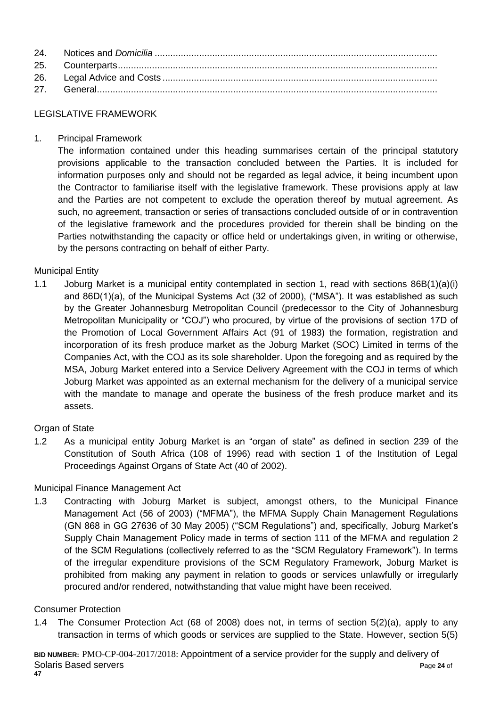#### LEGISLATIVE FRAMEWORK

1. Principal Framework

The information contained under this heading summarises certain of the principal statutory provisions applicable to the transaction concluded between the Parties. It is included for information purposes only and should not be regarded as legal advice, it being incumbent upon the Contractor to familiarise itself with the legislative framework. These provisions apply at law and the Parties are not competent to exclude the operation thereof by mutual agreement. As such, no agreement, transaction or series of transactions concluded outside of or in contravention of the legislative framework and the procedures provided for therein shall be binding on the Parties notwithstanding the capacity or office held or undertakings given, in writing or otherwise, by the persons contracting on behalf of either Party.

## Municipal Entity

1.1 Joburg Market is a municipal entity contemplated in section 1, read with sections 86B(1)(a)(i) and 86D(1)(a), of the Municipal Systems Act (32 of 2000), ("MSA"). It was established as such by the Greater Johannesburg Metropolitan Council (predecessor to the City of Johannesburg Metropolitan Municipality or "COJ") who procured, by virtue of the provisions of section 17D of the Promotion of Local Government Affairs Act (91 of 1983) the formation, registration and incorporation of its fresh produce market as the Joburg Market (SOC) Limited in terms of the Companies Act, with the COJ as its sole shareholder. Upon the foregoing and as required by the MSA, Joburg Market entered into a Service Delivery Agreement with the COJ in terms of which Joburg Market was appointed as an external mechanism for the delivery of a municipal service with the mandate to manage and operate the business of the fresh produce market and its assets.

## **Organ of State**

1.2 As a municipal entity Joburg Market is an "organ of state" as defined in section 239 of the Constitution of South Africa (108 of 1996) read with section 1 of the Institution of Legal Proceedings Against Organs of State Act (40 of 2002).

## Municipal Finance Management Act

1.3 Contracting with Joburg Market is subject, amongst others, to the Municipal Finance Management Act (56 of 2003) ("MFMA"), the MFMA Supply Chain Management Regulations (GN 868 in GG 27636 of 30 May 2005) ("SCM Regulations") and, specifically, Joburg Market's Supply Chain Management Policy made in terms of section 111 of the MFMA and regulation 2 of the SCM Regulations (collectively referred to as the "SCM Regulatory Framework"). In terms of the irregular expenditure provisions of the SCM Regulatory Framework, Joburg Market is prohibited from making any payment in relation to goods or services unlawfully or irregularly procured and/or rendered, notwithstanding that value might have been received.

#### Consumer Protection

1.4 The Consumer Protection Act (68 of 2008) does not, in terms of section 5(2)(a), apply to any transaction in terms of which goods or services are supplied to the State. However, section 5(5)

**BID NUMBER:** PMO-CP-004-2017/2018: Appointment of a service provider for the supply and delivery of Solaris Based servers **P**age **24** of **47**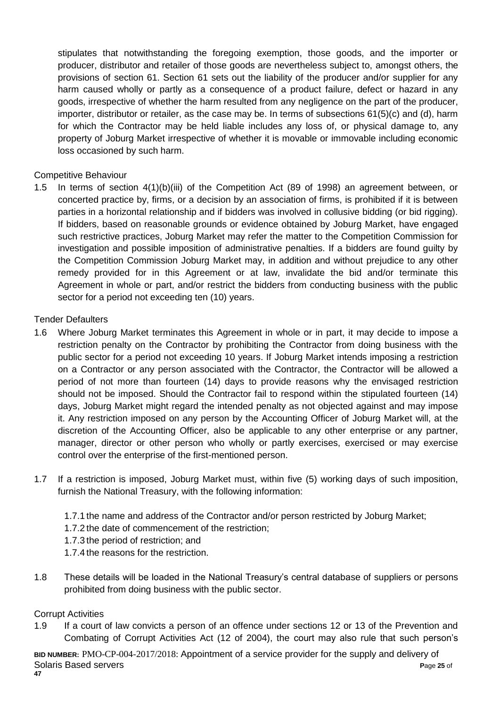stipulates that notwithstanding the foregoing exemption, those goods, and the importer or producer, distributor and retailer of those goods are nevertheless subject to, amongst others, the provisions of section 61. Section 61 sets out the liability of the producer and/or supplier for any harm caused wholly or partly as a consequence of a product failure, defect or hazard in any goods, irrespective of whether the harm resulted from any negligence on the part of the producer, importer, distributor or retailer, as the case may be. In terms of subsections 61(5)(c) and (d), harm for which the Contractor may be held liable includes any loss of, or physical damage to, any property of Joburg Market irrespective of whether it is movable or immovable including economic loss occasioned by such harm.

#### Competitive Behaviour

1.5 In terms of section 4(1)(b)(iii) of the Competition Act (89 of 1998) an agreement between, or concerted practice by, firms, or a decision by an association of firms, is prohibited if it is between parties in a horizontal relationship and if bidders was involved in collusive bidding (or bid rigging). If bidders, based on reasonable grounds or evidence obtained by Joburg Market, have engaged such restrictive practices, Joburg Market may refer the matter to the Competition Commission for investigation and possible imposition of administrative penalties. If a bidders are found guilty by the Competition Commission Joburg Market may, in addition and without prejudice to any other remedy provided for in this Agreement or at law, invalidate the bid and/or terminate this Agreement in whole or part, and/or restrict the bidders from conducting business with the public sector for a period not exceeding ten (10) years.

#### Tender Defaulters

- 1.6 Where Joburg Market terminates this Agreement in whole or in part, it may decide to impose a restriction penalty on the Contractor by prohibiting the Contractor from doing business with the public sector for a period not exceeding 10 years. If Joburg Market intends imposing a restriction on a Contractor or any person associated with the Contractor, the Contractor will be allowed a period of not more than fourteen (14) days to provide reasons why the envisaged restriction should not be imposed. Should the Contractor fail to respond within the stipulated fourteen (14) days, Joburg Market might regard the intended penalty as not objected against and may impose it. Any restriction imposed on any person by the Accounting Officer of Joburg Market will, at the discretion of the Accounting Officer, also be applicable to any other enterprise or any partner, manager, director or other person who wholly or partly exercises, exercised or may exercise control over the enterprise of the first-mentioned person.
- 1.7 If a restriction is imposed, Joburg Market must, within five (5) working days of such imposition, furnish the National Treasury, with the following information:
	- 1.7.1 the name and address of the Contractor and/or person restricted by Joburg Market;
	- 1.7.2 the date of commencement of the restriction;
	- 1.7.3 the period of restriction; and
	- 1.7.4 the reasons for the restriction.
- 1.8 These details will be loaded in the National Treasury's central database of suppliers or persons prohibited from doing business with the public sector.

## Corrupt Activities

1.9 If a court of law convicts a person of an offence under sections 12 or 13 of the Prevention and Combating of Corrupt Activities Act (12 of 2004), the court may also rule that such person's

**BID NUMBER:** PMO-CP-004-2017/2018: Appointment of a service provider for the supply and delivery of Solaris Based servers **P**age **25** of **47**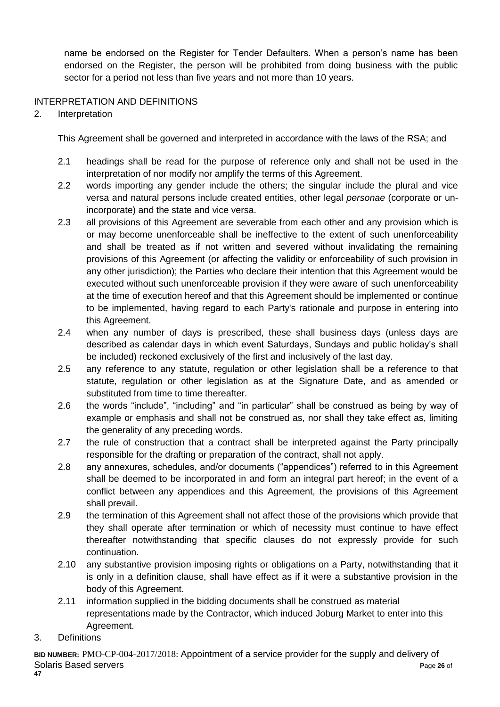name be endorsed on the Register for Tender Defaulters. When a person's name has been endorsed on the Register, the person will be prohibited from doing business with the public sector for a period not less than five years and not more than 10 years.

## INTERPRETATION AND DEFINITIONS

2. Interpretation

This Agreement shall be governed and interpreted in accordance with the laws of the RSA; and

- 2.1 headings shall be read for the purpose of reference only and shall not be used in the interpretation of nor modify nor amplify the terms of this Agreement.
- 2.2 words importing any gender include the others; the singular include the plural and vice versa and natural persons include created entities, other legal *personae* (corporate or unincorporate) and the state and vice versa.
- 2.3 all provisions of this Agreement are severable from each other and any provision which is or may become unenforceable shall be ineffective to the extent of such unenforceability and shall be treated as if not written and severed without invalidating the remaining provisions of this Agreement (or affecting the validity or enforceability of such provision in any other jurisdiction); the Parties who declare their intention that this Agreement would be executed without such unenforceable provision if they were aware of such unenforceability at the time of execution hereof and that this Agreement should be implemented or continue to be implemented, having regard to each Party's rationale and purpose in entering into this Agreement.
- 2.4 when any number of days is prescribed, these shall business days (unless days are described as calendar days in which event Saturdays, Sundays and public holiday's shall be included) reckoned exclusively of the first and inclusively of the last day.
- 2.5 any reference to any statute, regulation or other legislation shall be a reference to that statute, regulation or other legislation as at the Signature Date, and as amended or substituted from time to time thereafter.
- 2.6 the words "include", "including" and "in particular" shall be construed as being by way of example or emphasis and shall not be construed as, nor shall they take effect as, limiting the generality of any preceding words.
- 2.7 the rule of construction that a contract shall be interpreted against the Party principally responsible for the drafting or preparation of the contract, shall not apply.
- 2.8 any annexures, schedules, and/or documents ("appendices") referred to in this Agreement shall be deemed to be incorporated in and form an integral part hereof; in the event of a conflict between any appendices and this Agreement, the provisions of this Agreement shall prevail.
- 2.9 the termination of this Agreement shall not affect those of the provisions which provide that they shall operate after termination or which of necessity must continue to have effect thereafter notwithstanding that specific clauses do not expressly provide for such continuation.
- 2.10 any substantive provision imposing rights or obligations on a Party, notwithstanding that it is only in a definition clause, shall have effect as if it were a substantive provision in the body of this Agreement.
- 2.11 information supplied in the bidding documents shall be construed as material representations made by the Contractor, which induced Joburg Market to enter into this Agreement.
- 3. Definitions

**BID NUMBER:** PMO-CP-004-2017/2018: Appointment of a service provider for the supply and delivery of Solaris Based servers **P**age **26** of **47**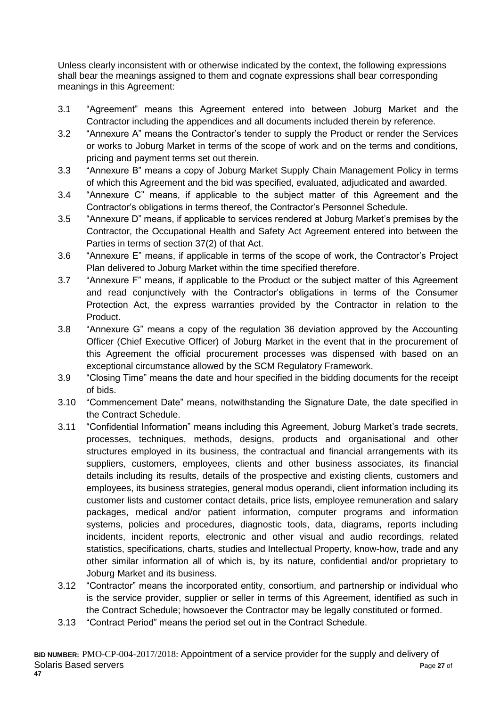Unless clearly inconsistent with or otherwise indicated by the context, the following expressions shall bear the meanings assigned to them and cognate expressions shall bear corresponding meanings in this Agreement:

- 3.1 "Agreement" means this Agreement entered into between Joburg Market and the Contractor including the appendices and all documents included therein by reference.
- 3.2 "Annexure A" means the Contractor's tender to supply the Product or render the Services or works to Joburg Market in terms of the scope of work and on the terms and conditions, pricing and payment terms set out therein.
- 3.3 "Annexure B" means a copy of Joburg Market Supply Chain Management Policy in terms of which this Agreement and the bid was specified, evaluated, adjudicated and awarded.
- 3.4 "Annexure C" means, if applicable to the subject matter of this Agreement and the Contractor's obligations in terms thereof, the Contractor's Personnel Schedule.
- 3.5 "Annexure D" means, if applicable to services rendered at Joburg Market's premises by the Contractor, the Occupational Health and Safety Act Agreement entered into between the Parties in terms of section 37(2) of that Act.
- 3.6 "Annexure E" means, if applicable in terms of the scope of work, the Contractor's Project Plan delivered to Joburg Market within the time specified therefore.
- 3.7 "Annexure F" means, if applicable to the Product or the subject matter of this Agreement and read conjunctively with the Contractor's obligations in terms of the Consumer Protection Act, the express warranties provided by the Contractor in relation to the Product.
- 3.8 "Annexure G" means a copy of the regulation 36 deviation approved by the Accounting Officer (Chief Executive Officer) of Joburg Market in the event that in the procurement of this Agreement the official procurement processes was dispensed with based on an exceptional circumstance allowed by the SCM Regulatory Framework.
- 3.9 "Closing Time" means the date and hour specified in the bidding documents for the receipt of bids.
- 3.10 "Commencement Date" means, notwithstanding the Signature Date, the date specified in the Contract Schedule.
- 3.11 "Confidential Information" means including this Agreement, Joburg Market's trade secrets, processes, techniques, methods, designs, products and organisational and other structures employed in its business, the contractual and financial arrangements with its suppliers, customers, employees, clients and other business associates, its financial details including its results, details of the prospective and existing clients, customers and employees, its business strategies, general modus operandi, client information including its customer lists and customer contact details, price lists, employee remuneration and salary packages, medical and/or patient information, computer programs and information systems, policies and procedures, diagnostic tools, data, diagrams, reports including incidents, incident reports, electronic and other visual and audio recordings, related statistics, specifications, charts, studies and Intellectual Property, know-how, trade and any other similar information all of which is, by its nature, confidential and/or proprietary to Joburg Market and its business.
- 3.12 "Contractor" means the incorporated entity, consortium, and partnership or individual who is the service provider, supplier or seller in terms of this Agreement, identified as such in the Contract Schedule; howsoever the Contractor may be legally constituted or formed.
- 3.13 "Contract Period" means the period set out in the Contract Schedule.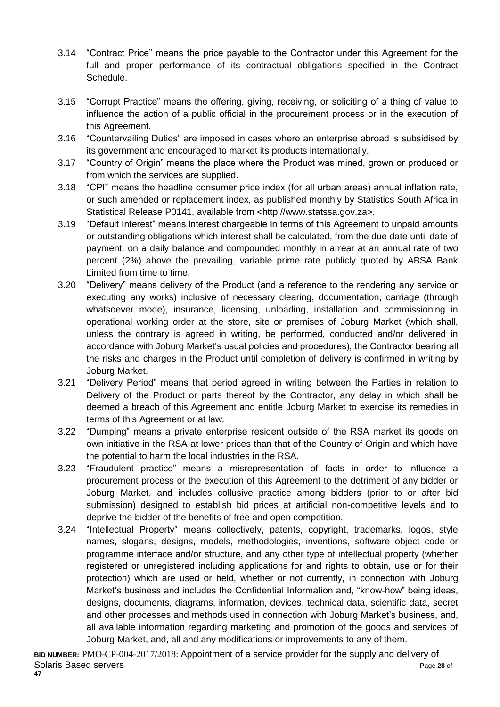- 3.14 "Contract Price" means the price payable to the Contractor under this Agreement for the full and proper performance of its contractual obligations specified in the Contract Schedule.
- 3.15 "Corrupt Practice" means the offering, giving, receiving, or soliciting of a thing of value to influence the action of a public official in the procurement process or in the execution of this Agreement.
- 3.16 "Countervailing Duties" are imposed in cases where an enterprise abroad is subsidised by its government and encouraged to market its products internationally.
- 3.17 "Country of Origin" means the place where the Product was mined, grown or produced or from which the services are supplied.
- 3.18 "CPI" means the headline consumer price index (for all urban areas) annual inflation rate, or such amended or replacement index, as published monthly by Statistics South Africa in Statistical Release P0141, available from <http://www.statssa.gov.za>.
- 3.19 "Default Interest" means interest chargeable in terms of this Agreement to unpaid amounts or outstanding obligations which interest shall be calculated, from the due date until date of payment, on a daily balance and compounded monthly in arrear at an annual rate of two percent (2%) above the prevailing, variable prime rate publicly quoted by ABSA Bank Limited from time to time.
- 3.20 "Delivery" means delivery of the Product (and a reference to the rendering any service or executing any works) inclusive of necessary clearing, documentation, carriage (through whatsoever mode), insurance, licensing, unloading, installation and commissioning in operational working order at the store, site or premises of Joburg Market (which shall, unless the contrary is agreed in writing, be performed, conducted and/or delivered in accordance with Joburg Market's usual policies and procedures), the Contractor bearing all the risks and charges in the Product until completion of delivery is confirmed in writing by Joburg Market.
- 3.21 "Delivery Period" means that period agreed in writing between the Parties in relation to Delivery of the Product or parts thereof by the Contractor, any delay in which shall be deemed a breach of this Agreement and entitle Joburg Market to exercise its remedies in terms of this Agreement or at law.
- 3.22 "Dumping" means a private enterprise resident outside of the RSA market its goods on own initiative in the RSA at lower prices than that of the Country of Origin and which have the potential to harm the local industries in the RSA.
- 3.23 "Fraudulent practice" means a misrepresentation of facts in order to influence a procurement process or the execution of this Agreement to the detriment of any bidder or Joburg Market, and includes collusive practice among bidders (prior to or after bid submission) designed to establish bid prices at artificial non-competitive levels and to deprive the bidder of the benefits of free and open competition.
- 3.24 "Intellectual Property" means collectively, patents, copyright, trademarks, logos, style names, slogans, designs, models, methodologies, inventions, software object code or programme interface and/or structure, and any other type of intellectual property (whether registered or unregistered including applications for and rights to obtain, use or for their protection) which are used or held, whether or not currently, in connection with Joburg Market's business and includes the Confidential Information and, "know-how" being ideas, designs, documents, diagrams, information, devices, technical data, scientific data, secret and other processes and methods used in connection with Joburg Market's business, and, all available information regarding marketing and promotion of the goods and services of Joburg Market, and, all and any modifications or improvements to any of them.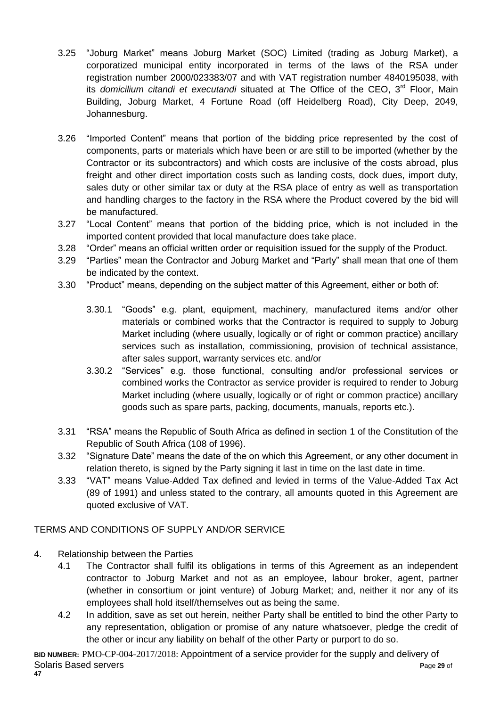- 3.25 "Joburg Market" means Joburg Market (SOC) Limited (trading as Joburg Market), a corporatized municipal entity incorporated in terms of the laws of the RSA under registration number 2000/023383/07 and with VAT registration number 4840195038, with its *domicilium citandi et executandi* situated at The Office of the CEO, 3<sup>rd</sup> Floor, Main Building, Joburg Market, 4 Fortune Road (off Heidelberg Road), City Deep, 2049, Johannesburg.
- 3.26 "Imported Content" means that portion of the bidding price represented by the cost of components, parts or materials which have been or are still to be imported (whether by the Contractor or its subcontractors) and which costs are inclusive of the costs abroad, plus freight and other direct importation costs such as landing costs, dock dues, import duty, sales duty or other similar tax or duty at the RSA place of entry as well as transportation and handling charges to the factory in the RSA where the Product covered by the bid will be manufactured.
- 3.27 "Local Content" means that portion of the bidding price, which is not included in the imported content provided that local manufacture does take place.
- 3.28 "Order" means an official written order or requisition issued for the supply of the Product.
- 3.29 "Parties" mean the Contractor and Joburg Market and "Party" shall mean that one of them be indicated by the context.
- 3.30 "Product" means, depending on the subject matter of this Agreement, either or both of:
	- 3.30.1 "Goods" e.g. plant, equipment, machinery, manufactured items and/or other materials or combined works that the Contractor is required to supply to Joburg Market including (where usually, logically or of right or common practice) ancillary services such as installation, commissioning, provision of technical assistance, after sales support, warranty services etc. and/or
	- 3.30.2 "Services" e.g. those functional, consulting and/or professional services or combined works the Contractor as service provider is required to render to Joburg Market including (where usually, logically or of right or common practice) ancillary goods such as spare parts, packing, documents, manuals, reports etc.).
- 3.31 "RSA" means the Republic of South Africa as defined in section 1 of the Constitution of the Republic of South Africa (108 of 1996).
- 3.32 "Signature Date" means the date of the on which this Agreement, or any other document in relation thereto, is signed by the Party signing it last in time on the last date in time.
- 3.33 "VAT" means Value-Added Tax defined and levied in terms of the Value-Added Tax Act (89 of 1991) and unless stated to the contrary, all amounts quoted in this Agreement are quoted exclusive of VAT.

## TERMS AND CONDITIONS OF SUPPLY AND/OR SERVICE

- 4. Relationship between the Parties
	- 4.1 The Contractor shall fulfil its obligations in terms of this Agreement as an independent contractor to Joburg Market and not as an employee, labour broker, agent, partner (whether in consortium or joint venture) of Joburg Market; and, neither it nor any of its employees shall hold itself/themselves out as being the same.
	- 4.2 In addition, save as set out herein, neither Party shall be entitled to bind the other Party to any representation, obligation or promise of any nature whatsoever, pledge the credit of the other or incur any liability on behalf of the other Party or purport to do so.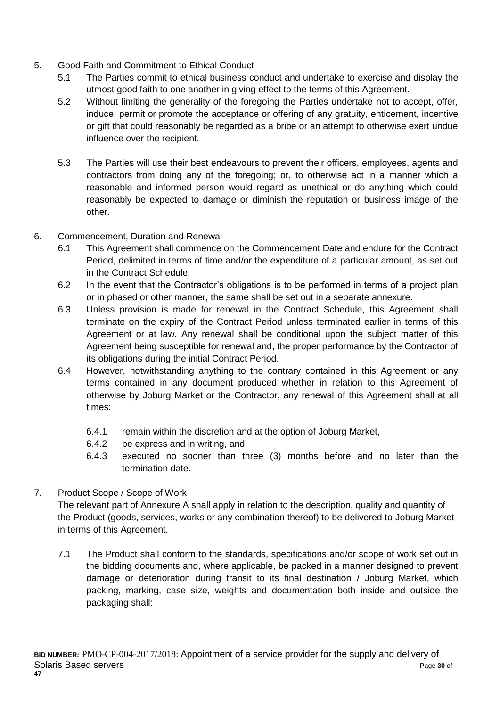- 5. Good Faith and Commitment to Ethical Conduct
	- 5.1 The Parties commit to ethical business conduct and undertake to exercise and display the utmost good faith to one another in giving effect to the terms of this Agreement.
	- 5.2 Without limiting the generality of the foregoing the Parties undertake not to accept, offer, induce, permit or promote the acceptance or offering of any gratuity, enticement, incentive or gift that could reasonably be regarded as a bribe or an attempt to otherwise exert undue influence over the recipient.
	- 5.3 The Parties will use their best endeavours to prevent their officers, employees, agents and contractors from doing any of the foregoing; or, to otherwise act in a manner which a reasonable and informed person would regard as unethical or do anything which could reasonably be expected to damage or diminish the reputation or business image of the other.
- 6. Commencement, Duration and Renewal
	- 6.1 This Agreement shall commence on the Commencement Date and endure for the Contract Period, delimited in terms of time and/or the expenditure of a particular amount, as set out in the Contract Schedule.
	- 6.2 In the event that the Contractor's obligations is to be performed in terms of a project plan or in phased or other manner, the same shall be set out in a separate annexure.
	- 6.3 Unless provision is made for renewal in the Contract Schedule, this Agreement shall terminate on the expiry of the Contract Period unless terminated earlier in terms of this Agreement or at law. Any renewal shall be conditional upon the subject matter of this Agreement being susceptible for renewal and, the proper performance by the Contractor of its obligations during the initial Contract Period.
	- 6.4 However, notwithstanding anything to the contrary contained in this Agreement or any terms contained in any document produced whether in relation to this Agreement of otherwise by Joburg Market or the Contractor, any renewal of this Agreement shall at all times:
		- 6.4.1 remain within the discretion and at the option of Joburg Market,
		- 6.4.2 be express and in writing, and
		- 6.4.3 executed no sooner than three (3) months before and no later than the termination date.

# 7. Product Scope / Scope of Work

The relevant part of Annexure A shall apply in relation to the description, quality and quantity of the Product (goods, services, works or any combination thereof) to be delivered to Joburg Market in terms of this Agreement.

7.1 The Product shall conform to the standards, specifications and/or scope of work set out in the bidding documents and, where applicable, be packed in a manner designed to prevent damage or deterioration during transit to its final destination / Joburg Market, which packing, marking, case size, weights and documentation both inside and outside the packaging shall: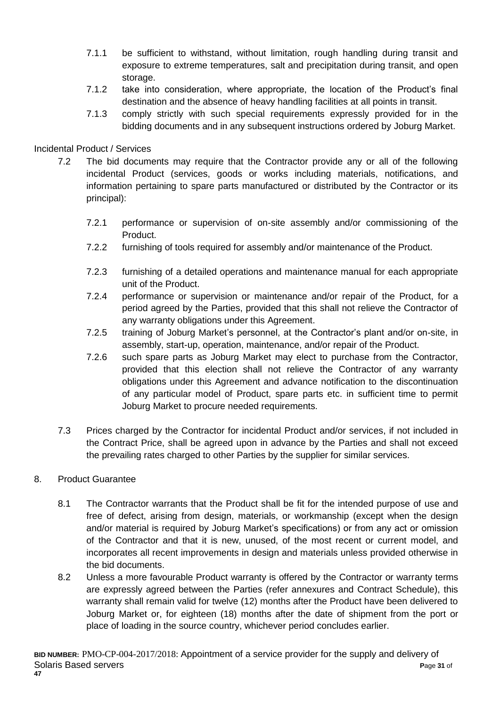- 7.1.1 be sufficient to withstand, without limitation, rough handling during transit and exposure to extreme temperatures, salt and precipitation during transit, and open storage.
- 7.1.2 take into consideration, where appropriate, the location of the Product's final destination and the absence of heavy handling facilities at all points in transit.
- 7.1.3 comply strictly with such special requirements expressly provided for in the bidding documents and in any subsequent instructions ordered by Joburg Market.

## Incidental Product / Services

- 7.2 The bid documents may require that the Contractor provide any or all of the following incidental Product (services, goods or works including materials, notifications, and information pertaining to spare parts manufactured or distributed by the Contractor or its principal):
	- 7.2.1 performance or supervision of on-site assembly and/or commissioning of the Product.
	- 7.2.2 furnishing of tools required for assembly and/or maintenance of the Product.
	- 7.2.3 furnishing of a detailed operations and maintenance manual for each appropriate unit of the Product.
	- 7.2.4 performance or supervision or maintenance and/or repair of the Product, for a period agreed by the Parties, provided that this shall not relieve the Contractor of any warranty obligations under this Agreement.
	- 7.2.5 training of Joburg Market's personnel, at the Contractor's plant and/or on-site, in assembly, start-up, operation, maintenance, and/or repair of the Product.
	- 7.2.6 such spare parts as Joburg Market may elect to purchase from the Contractor, provided that this election shall not relieve the Contractor of any warranty obligations under this Agreement and advance notification to the discontinuation of any particular model of Product, spare parts etc. in sufficient time to permit Joburg Market to procure needed requirements.
- 7.3 Prices charged by the Contractor for incidental Product and/or services, if not included in the Contract Price, shall be agreed upon in advance by the Parties and shall not exceed the prevailing rates charged to other Parties by the supplier for similar services.

## 8. Product Guarantee

- 8.1 The Contractor warrants that the Product shall be fit for the intended purpose of use and free of defect, arising from design, materials, or workmanship (except when the design and/or material is required by Joburg Market's specifications) or from any act or omission of the Contractor and that it is new, unused, of the most recent or current model, and incorporates all recent improvements in design and materials unless provided otherwise in the bid documents.
- 8.2 Unless a more favourable Product warranty is offered by the Contractor or warranty terms are expressly agreed between the Parties (refer annexures and Contract Schedule), this warranty shall remain valid for twelve (12) months after the Product have been delivered to Joburg Market or, for eighteen (18) months after the date of shipment from the port or place of loading in the source country, whichever period concludes earlier.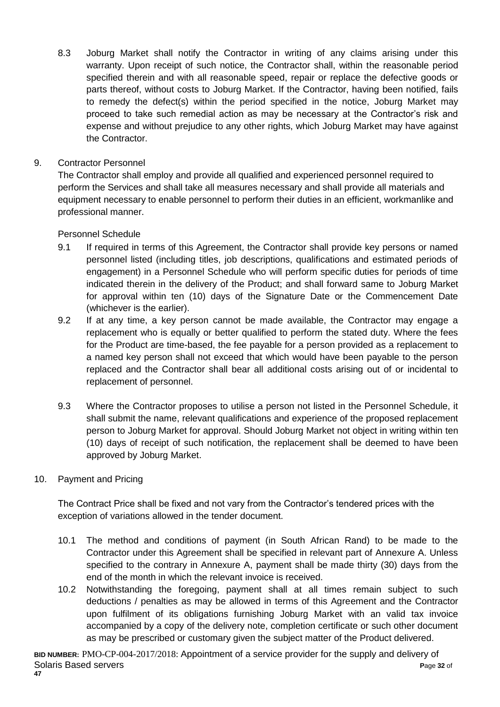8.3 Joburg Market shall notify the Contractor in writing of any claims arising under this warranty. Upon receipt of such notice, the Contractor shall, within the reasonable period specified therein and with all reasonable speed, repair or replace the defective goods or parts thereof, without costs to Joburg Market. If the Contractor, having been notified, fails to remedy the defect(s) within the period specified in the notice, Joburg Market may proceed to take such remedial action as may be necessary at the Contractor's risk and expense and without prejudice to any other rights, which Joburg Market may have against the Contractor.

## 9. Contractor Personnel

The Contractor shall employ and provide all qualified and experienced personnel required to perform the Services and shall take all measures necessary and shall provide all materials and equipment necessary to enable personnel to perform their duties in an efficient, workmanlike and professional manner.

## Personnel Schedule

- 9.1 If required in terms of this Agreement, the Contractor shall provide key persons or named personnel listed (including titles, job descriptions, qualifications and estimated periods of engagement) in a Personnel Schedule who will perform specific duties for periods of time indicated therein in the delivery of the Product; and shall forward same to Joburg Market for approval within ten (10) days of the Signature Date or the Commencement Date (whichever is the earlier).
- 9.2 If at any time, a key person cannot be made available, the Contractor may engage a replacement who is equally or better qualified to perform the stated duty. Where the fees for the Product are time-based, the fee payable for a person provided as a replacement to a named key person shall not exceed that which would have been payable to the person replaced and the Contractor shall bear all additional costs arising out of or incidental to replacement of personnel.
- 9.3 Where the Contractor proposes to utilise a person not listed in the Personnel Schedule, it shall submit the name, relevant qualifications and experience of the proposed replacement person to Joburg Market for approval. Should Joburg Market not object in writing within ten (10) days of receipt of such notification, the replacement shall be deemed to have been approved by Joburg Market.

## 10. Payment and Pricing

The Contract Price shall be fixed and not vary from the Contractor's tendered prices with the exception of variations allowed in the tender document.

- 10.1 The method and conditions of payment (in South African Rand) to be made to the Contractor under this Agreement shall be specified in relevant part of Annexure A. Unless specified to the contrary in Annexure A, payment shall be made thirty (30) days from the end of the month in which the relevant invoice is received.
- 10.2 Notwithstanding the foregoing, payment shall at all times remain subject to such deductions / penalties as may be allowed in terms of this Agreement and the Contractor upon fulfilment of its obligations furnishing Joburg Market with an valid tax invoice accompanied by a copy of the delivery note, completion certificate or such other document as may be prescribed or customary given the subject matter of the Product delivered.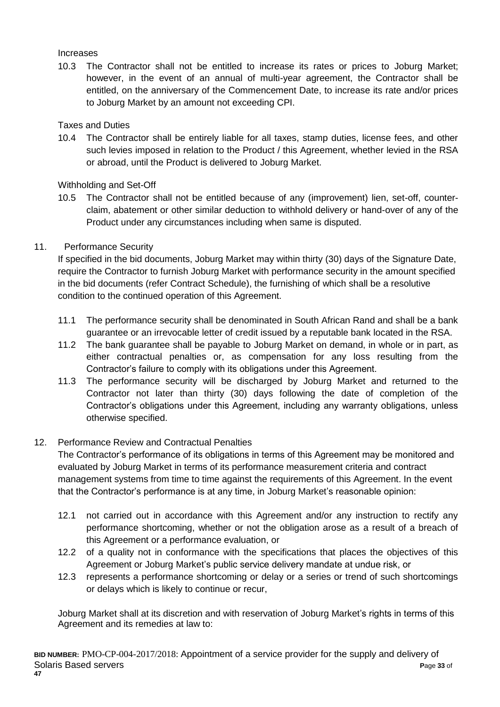#### Increases

10.3 The Contractor shall not be entitled to increase its rates or prices to Joburg Market; however, in the event of an annual of multi-year agreement, the Contractor shall be entitled, on the anniversary of the Commencement Date, to increase its rate and/or prices to Joburg Market by an amount not exceeding CPI.

## Taxes and Duties

10.4 The Contractor shall be entirely liable for all taxes, stamp duties, license fees, and other such levies imposed in relation to the Product / this Agreement, whether levied in the RSA or abroad, until the Product is delivered to Joburg Market.

## Withholding and Set-Off

10.5 The Contractor shall not be entitled because of any (improvement) lien, set-off, counterclaim, abatement or other similar deduction to withhold delivery or hand-over of any of the Product under any circumstances including when same is disputed.

## 11. Performance Security

If specified in the bid documents, Joburg Market may within thirty (30) days of the Signature Date, require the Contractor to furnish Joburg Market with performance security in the amount specified in the bid documents (refer Contract Schedule), the furnishing of which shall be a resolutive condition to the continued operation of this Agreement.

- 11.1 The performance security shall be denominated in South African Rand and shall be a bank guarantee or an irrevocable letter of credit issued by a reputable bank located in the RSA.
- 11.2 The bank guarantee shall be payable to Joburg Market on demand, in whole or in part, as either contractual penalties or, as compensation for any loss resulting from the Contractor's failure to comply with its obligations under this Agreement.
- 11.3 The performance security will be discharged by Joburg Market and returned to the Contractor not later than thirty (30) days following the date of completion of the Contractor's obligations under this Agreement, including any warranty obligations, unless otherwise specified.

# 12. Performance Review and Contractual Penalties

The Contractor's performance of its obligations in terms of this Agreement may be monitored and evaluated by Joburg Market in terms of its performance measurement criteria and contract management systems from time to time against the requirements of this Agreement. In the event that the Contractor's performance is at any time, in Joburg Market's reasonable opinion:

- 12.1 not carried out in accordance with this Agreement and/or any instruction to rectify any performance shortcoming, whether or not the obligation arose as a result of a breach of this Agreement or a performance evaluation, or
- 12.2 of a quality not in conformance with the specifications that places the objectives of this Agreement or Joburg Market's public service delivery mandate at undue risk, or
- 12.3 represents a performance shortcoming or delay or a series or trend of such shortcomings or delays which is likely to continue or recur,

Joburg Market shall at its discretion and with reservation of Joburg Market's rights in terms of this Agreement and its remedies at law to: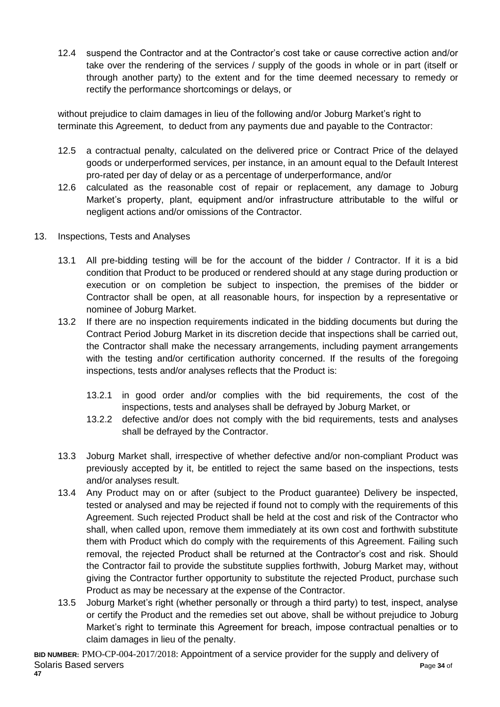12.4 suspend the Contractor and at the Contractor's cost take or cause corrective action and/or take over the rendering of the services / supply of the goods in whole or in part (itself or through another party) to the extent and for the time deemed necessary to remedy or rectify the performance shortcomings or delays, or

without prejudice to claim damages in lieu of the following and/or Joburg Market's right to terminate this Agreement, to deduct from any payments due and payable to the Contractor:

- 12.5 a contractual penalty, calculated on the delivered price or Contract Price of the delayed goods or underperformed services, per instance, in an amount equal to the Default Interest pro-rated per day of delay or as a percentage of underperformance, and/or
- 12.6 calculated as the reasonable cost of repair or replacement, any damage to Joburg Market's property, plant, equipment and/or infrastructure attributable to the wilful or negligent actions and/or omissions of the Contractor.
- 13. Inspections, Tests and Analyses
	- 13.1 All pre-bidding testing will be for the account of the bidder / Contractor. If it is a bid condition that Product to be produced or rendered should at any stage during production or execution or on completion be subject to inspection, the premises of the bidder or Contractor shall be open, at all reasonable hours, for inspection by a representative or nominee of Joburg Market.
	- 13.2 If there are no inspection requirements indicated in the bidding documents but during the Contract Period Joburg Market in its discretion decide that inspections shall be carried out, the Contractor shall make the necessary arrangements, including payment arrangements with the testing and/or certification authority concerned. If the results of the foregoing inspections, tests and/or analyses reflects that the Product is:
		- 13.2.1 in good order and/or complies with the bid requirements, the cost of the inspections, tests and analyses shall be defrayed by Joburg Market, or
		- 13.2.2 defective and/or does not comply with the bid requirements, tests and analyses shall be defrayed by the Contractor.
	- 13.3 Joburg Market shall, irrespective of whether defective and/or non-compliant Product was previously accepted by it, be entitled to reject the same based on the inspections, tests and/or analyses result.
	- 13.4 Any Product may on or after (subject to the Product guarantee) Delivery be inspected, tested or analysed and may be rejected if found not to comply with the requirements of this Agreement. Such rejected Product shall be held at the cost and risk of the Contractor who shall, when called upon, remove them immediately at its own cost and forthwith substitute them with Product which do comply with the requirements of this Agreement. Failing such removal, the rejected Product shall be returned at the Contractor's cost and risk. Should the Contractor fail to provide the substitute supplies forthwith, Joburg Market may, without giving the Contractor further opportunity to substitute the rejected Product, purchase such Product as may be necessary at the expense of the Contractor.
	- 13.5 Joburg Market's right (whether personally or through a third party) to test, inspect, analyse or certify the Product and the remedies set out above, shall be without prejudice to Joburg Market's right to terminate this Agreement for breach, impose contractual penalties or to claim damages in lieu of the penalty.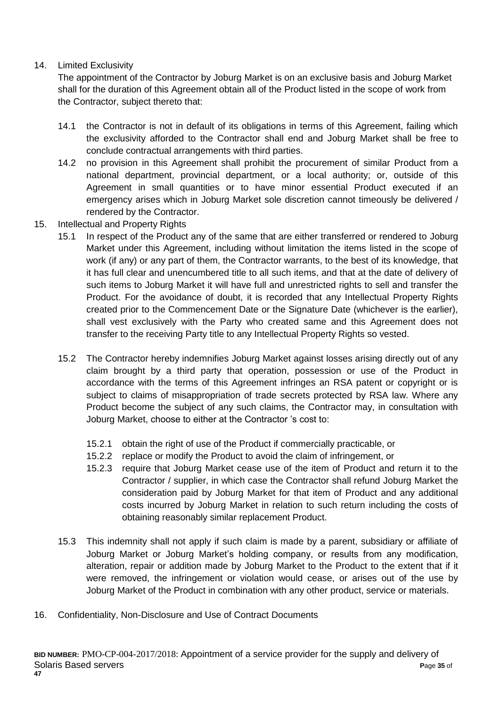## 14. Limited Exclusivity

The appointment of the Contractor by Joburg Market is on an exclusive basis and Joburg Market shall for the duration of this Agreement obtain all of the Product listed in the scope of work from the Contractor, subject thereto that:

- 14.1 the Contractor is not in default of its obligations in terms of this Agreement, failing which the exclusivity afforded to the Contractor shall end and Joburg Market shall be free to conclude contractual arrangements with third parties.
- 14.2 no provision in this Agreement shall prohibit the procurement of similar Product from a national department, provincial department, or a local authority; or, outside of this Agreement in small quantities or to have minor essential Product executed if an emergency arises which in Joburg Market sole discretion cannot timeously be delivered / rendered by the Contractor.
- 15. Intellectual and Property Rights
	- 15.1 In respect of the Product any of the same that are either transferred or rendered to Joburg Market under this Agreement, including without limitation the items listed in the scope of work (if any) or any part of them, the Contractor warrants, to the best of its knowledge, that it has full clear and unencumbered title to all such items, and that at the date of delivery of such items to Joburg Market it will have full and unrestricted rights to sell and transfer the Product. For the avoidance of doubt, it is recorded that any Intellectual Property Rights created prior to the Commencement Date or the Signature Date (whichever is the earlier), shall vest exclusively with the Party who created same and this Agreement does not transfer to the receiving Party title to any Intellectual Property Rights so vested.
	- 15.2 The Contractor hereby indemnifies Joburg Market against losses arising directly out of any claim brought by a third party that operation, possession or use of the Product in accordance with the terms of this Agreement infringes an RSA patent or copyright or is subject to claims of misappropriation of trade secrets protected by RSA law. Where any Product become the subject of any such claims, the Contractor may, in consultation with Joburg Market, choose to either at the Contractor 's cost to:
		- 15.2.1 obtain the right of use of the Product if commercially practicable, or
		- 15.2.2 replace or modify the Product to avoid the claim of infringement, or
		- 15.2.3 require that Joburg Market cease use of the item of Product and return it to the Contractor / supplier, in which case the Contractor shall refund Joburg Market the consideration paid by Joburg Market for that item of Product and any additional costs incurred by Joburg Market in relation to such return including the costs of obtaining reasonably similar replacement Product.
	- 15.3 This indemnity shall not apply if such claim is made by a parent, subsidiary or affiliate of Joburg Market or Joburg Market's holding company, or results from any modification, alteration, repair or addition made by Joburg Market to the Product to the extent that if it were removed, the infringement or violation would cease, or arises out of the use by Joburg Market of the Product in combination with any other product, service or materials.
- 16. Confidentiality, Non-Disclosure and Use of Contract Documents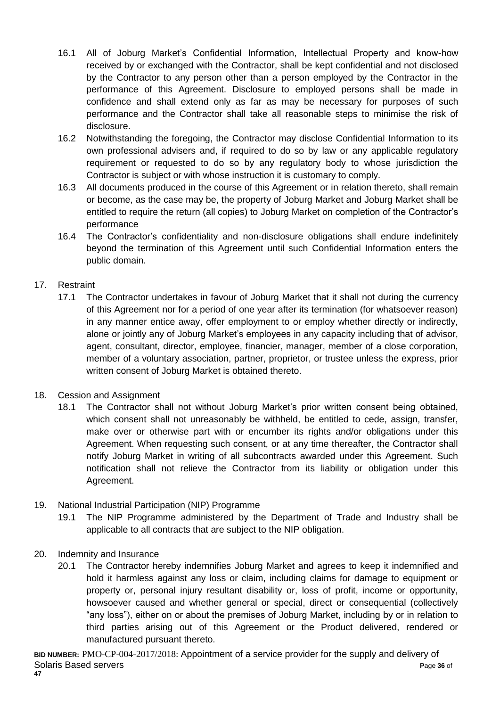- 16.1 All of Joburg Market's Confidential Information, Intellectual Property and know-how received by or exchanged with the Contractor, shall be kept confidential and not disclosed by the Contractor to any person other than a person employed by the Contractor in the performance of this Agreement. Disclosure to employed persons shall be made in confidence and shall extend only as far as may be necessary for purposes of such performance and the Contractor shall take all reasonable steps to minimise the risk of disclosure.
- 16.2 Notwithstanding the foregoing, the Contractor may disclose Confidential Information to its own professional advisers and, if required to do so by law or any applicable regulatory requirement or requested to do so by any regulatory body to whose jurisdiction the Contractor is subject or with whose instruction it is customary to comply.
- 16.3 All documents produced in the course of this Agreement or in relation thereto, shall remain or become, as the case may be, the property of Joburg Market and Joburg Market shall be entitled to require the return (all copies) to Joburg Market on completion of the Contractor's performance
- 16.4 The Contractor's confidentiality and non-disclosure obligations shall endure indefinitely beyond the termination of this Agreement until such Confidential Information enters the public domain.

## 17. Restraint

- 17.1 The Contractor undertakes in favour of Joburg Market that it shall not during the currency of this Agreement nor for a period of one year after its termination (for whatsoever reason) in any manner entice away, offer employment to or employ whether directly or indirectly, alone or jointly any of Joburg Market's employees in any capacity including that of advisor, agent, consultant, director, employee, financier, manager, member of a close corporation, member of a voluntary association, partner, proprietor, or trustee unless the express, prior written consent of Joburg Market is obtained thereto.
- 18. Cession and Assignment
	- 18.1 The Contractor shall not without Joburg Market's prior written consent being obtained, which consent shall not unreasonably be withheld, be entitled to cede, assign, transfer, make over or otherwise part with or encumber its rights and/or obligations under this Agreement. When requesting such consent, or at any time thereafter, the Contractor shall notify Joburg Market in writing of all subcontracts awarded under this Agreement. Such notification shall not relieve the Contractor from its liability or obligation under this Agreement.
- 19. National Industrial Participation (NIP) Programme
	- 19.1 The NIP Programme administered by the Department of Trade and Industry shall be applicable to all contracts that are subject to the NIP obligation.
- 20. Indemnity and Insurance
	- 20.1 The Contractor hereby indemnifies Joburg Market and agrees to keep it indemnified and hold it harmless against any loss or claim, including claims for damage to equipment or property or, personal injury resultant disability or, loss of profit, income or opportunity, howsoever caused and whether general or special, direct or consequential (collectively "any loss"), either on or about the premises of Joburg Market, including by or in relation to third parties arising out of this Agreement or the Product delivered, rendered or manufactured pursuant thereto.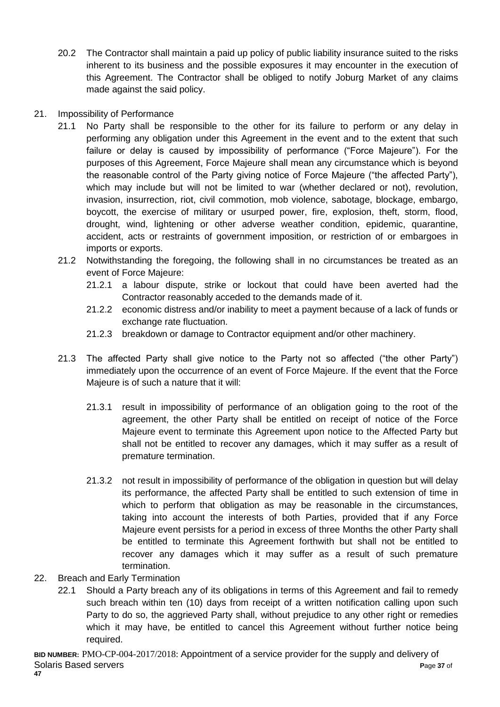- 20.2 The Contractor shall maintain a paid up policy of public liability insurance suited to the risks inherent to its business and the possible exposures it may encounter in the execution of this Agreement. The Contractor shall be obliged to notify Joburg Market of any claims made against the said policy.
- 21. Impossibility of Performance
	- 21.1 No Party shall be responsible to the other for its failure to perform or any delay in performing any obligation under this Agreement in the event and to the extent that such failure or delay is caused by impossibility of performance ("Force Majeure"). For the purposes of this Agreement, Force Majeure shall mean any circumstance which is beyond the reasonable control of the Party giving notice of Force Majeure ("the affected Party"), which may include but will not be limited to war (whether declared or not), revolution, invasion, insurrection, riot, civil commotion, mob violence, sabotage, blockage, embargo, boycott, the exercise of military or usurped power, fire, explosion, theft, storm, flood, drought, wind, lightening or other adverse weather condition, epidemic, quarantine, accident, acts or restraints of government imposition, or restriction of or embargoes in imports or exports.
	- 21.2 Notwithstanding the foregoing, the following shall in no circumstances be treated as an event of Force Majeure:
		- 21.2.1 a labour dispute, strike or lockout that could have been averted had the Contractor reasonably acceded to the demands made of it.
		- 21.2.2 economic distress and/or inability to meet a payment because of a lack of funds or exchange rate fluctuation.
		- 21.2.3 breakdown or damage to Contractor equipment and/or other machinery.
	- 21.3 The affected Party shall give notice to the Party not so affected ("the other Party") immediately upon the occurrence of an event of Force Majeure. If the event that the Force Majeure is of such a nature that it will:
		- 21.3.1 result in impossibility of performance of an obligation going to the root of the agreement, the other Party shall be entitled on receipt of notice of the Force Majeure event to terminate this Agreement upon notice to the Affected Party but shall not be entitled to recover any damages, which it may suffer as a result of premature termination.
		- 21.3.2 not result in impossibility of performance of the obligation in question but will delay its performance, the affected Party shall be entitled to such extension of time in which to perform that obligation as may be reasonable in the circumstances, taking into account the interests of both Parties, provided that if any Force Majeure event persists for a period in excess of three Months the other Party shall be entitled to terminate this Agreement forthwith but shall not be entitled to recover any damages which it may suffer as a result of such premature termination.
- 22. Breach and Early Termination
	- 22.1 Should a Party breach any of its obligations in terms of this Agreement and fail to remedy such breach within ten (10) days from receipt of a written notification calling upon such Party to do so, the aggrieved Party shall, without prejudice to any other right or remedies which it may have, be entitled to cancel this Agreement without further notice being required.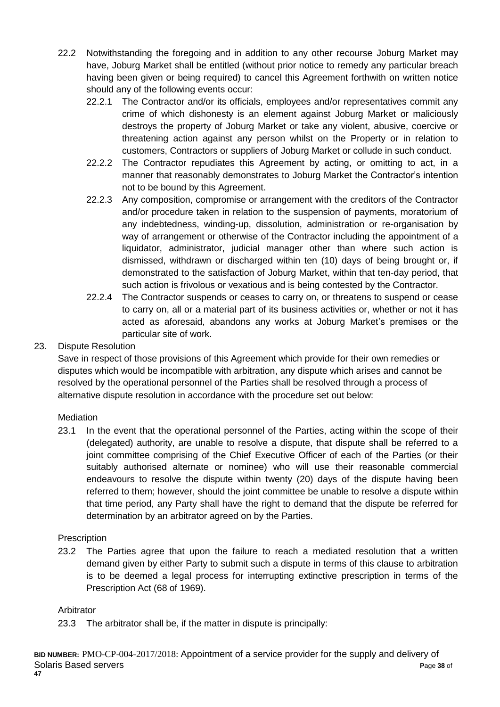- 22.2 Notwithstanding the foregoing and in addition to any other recourse Joburg Market may have, Joburg Market shall be entitled (without prior notice to remedy any particular breach having been given or being required) to cancel this Agreement forthwith on written notice should any of the following events occur:
	- 22.2.1 The Contractor and/or its officials, employees and/or representatives commit any crime of which dishonesty is an element against Joburg Market or maliciously destroys the property of Joburg Market or take any violent, abusive, coercive or threatening action against any person whilst on the Property or in relation to customers, Contractors or suppliers of Joburg Market or collude in such conduct.
	- 22.2.2 The Contractor repudiates this Agreement by acting, or omitting to act, in a manner that reasonably demonstrates to Joburg Market the Contractor's intention not to be bound by this Agreement.
	- 22.2.3 Any composition, compromise or arrangement with the creditors of the Contractor and/or procedure taken in relation to the suspension of payments, moratorium of any indebtedness, winding-up, dissolution, administration or re-organisation by way of arrangement or otherwise of the Contractor including the appointment of a liquidator, administrator, judicial manager other than where such action is dismissed, withdrawn or discharged within ten (10) days of being brought or, if demonstrated to the satisfaction of Joburg Market, within that ten-day period, that such action is frivolous or vexatious and is being contested by the Contractor.
	- 22.2.4 The Contractor suspends or ceases to carry on, or threatens to suspend or cease to carry on, all or a material part of its business activities or, whether or not it has acted as aforesaid, abandons any works at Joburg Market's premises or the particular site of work.

## 23. Dispute Resolution

Save in respect of those provisions of this Agreement which provide for their own remedies or disputes which would be incompatible with arbitration, any dispute which arises and cannot be resolved by the operational personnel of the Parties shall be resolved through a process of alternative dispute resolution in accordance with the procedure set out below:

## **Mediation**

23.1 In the event that the operational personnel of the Parties, acting within the scope of their (delegated) authority, are unable to resolve a dispute, that dispute shall be referred to a joint committee comprising of the Chief Executive Officer of each of the Parties (or their suitably authorised alternate or nominee) who will use their reasonable commercial endeavours to resolve the dispute within twenty (20) days of the dispute having been referred to them; however, should the joint committee be unable to resolve a dispute within that time period, any Party shall have the right to demand that the dispute be referred for determination by an arbitrator agreed on by the Parties.

## **Prescription**

23.2 The Parties agree that upon the failure to reach a mediated resolution that a written demand given by either Party to submit such a dispute in terms of this clause to arbitration is to be deemed a legal process for interrupting extinctive prescription in terms of the Prescription Act (68 of 1969).

## Arbitrator

23.3 The arbitrator shall be, if the matter in dispute is principally: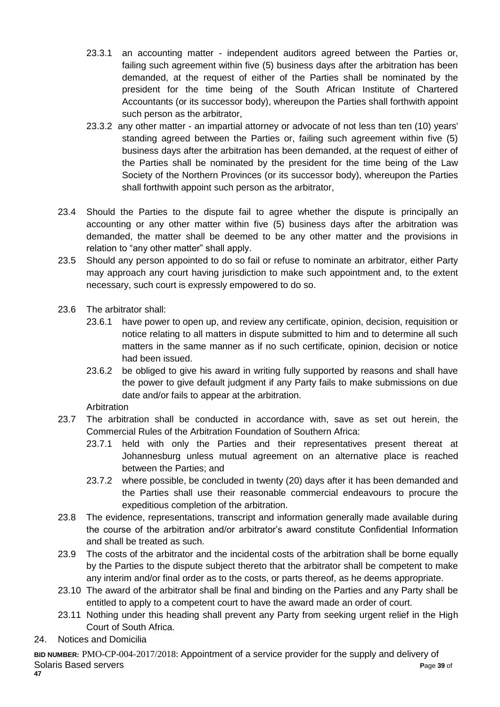- 23.3.1 an accounting matter independent auditors agreed between the Parties or, failing such agreement within five (5) business days after the arbitration has been demanded, at the request of either of the Parties shall be nominated by the president for the time being of the South African Institute of Chartered Accountants (or its successor body), whereupon the Parties shall forthwith appoint such person as the arbitrator,
- 23.3.2 any other matter an impartial attorney or advocate of not less than ten (10) years' standing agreed between the Parties or, failing such agreement within five (5) business days after the arbitration has been demanded, at the request of either of the Parties shall be nominated by the president for the time being of the Law Society of the Northern Provinces (or its successor body), whereupon the Parties shall forthwith appoint such person as the arbitrator,
- 23.4 Should the Parties to the dispute fail to agree whether the dispute is principally an accounting or any other matter within five (5) business days after the arbitration was demanded, the matter shall be deemed to be any other matter and the provisions in relation to "any other matter" shall apply.
- 23.5 Should any person appointed to do so fail or refuse to nominate an arbitrator, either Party may approach any court having jurisdiction to make such appointment and, to the extent necessary, such court is expressly empowered to do so.
- 23.6 The arbitrator shall:
	- 23.6.1 have power to open up, and review any certificate, opinion, decision, requisition or notice relating to all matters in dispute submitted to him and to determine all such matters in the same manner as if no such certificate, opinion, decision or notice had been issued.
	- 23.6.2 be obliged to give his award in writing fully supported by reasons and shall have the power to give default judgment if any Party fails to make submissions on due date and/or fails to appear at the arbitration.

**Arbitration** 

- 23.7 The arbitration shall be conducted in accordance with, save as set out herein, the Commercial Rules of the Arbitration Foundation of Southern Africa:
	- 23.7.1 held with only the Parties and their representatives present thereat at Johannesburg unless mutual agreement on an alternative place is reached between the Parties; and
	- 23.7.2 where possible, be concluded in twenty (20) days after it has been demanded and the Parties shall use their reasonable commercial endeavours to procure the expeditious completion of the arbitration.
- 23.8 The evidence, representations, transcript and information generally made available during the course of the arbitration and/or arbitrator's award constitute Confidential Information and shall be treated as such.
- 23.9 The costs of the arbitrator and the incidental costs of the arbitration shall be borne equally by the Parties to the dispute subject thereto that the arbitrator shall be competent to make any interim and/or final order as to the costs, or parts thereof, as he deems appropriate.
- 23.10 The award of the arbitrator shall be final and binding on the Parties and any Party shall be entitled to apply to a competent court to have the award made an order of court.
- 23.11 Nothing under this heading shall prevent any Party from seeking urgent relief in the High Court of South Africa.
- 24. Notices and Domicilia

**BID NUMBER:** PMO-CP-004-2017/2018: Appointment of a service provider for the supply and delivery of Solaris Based servers **P**age **39** of **47**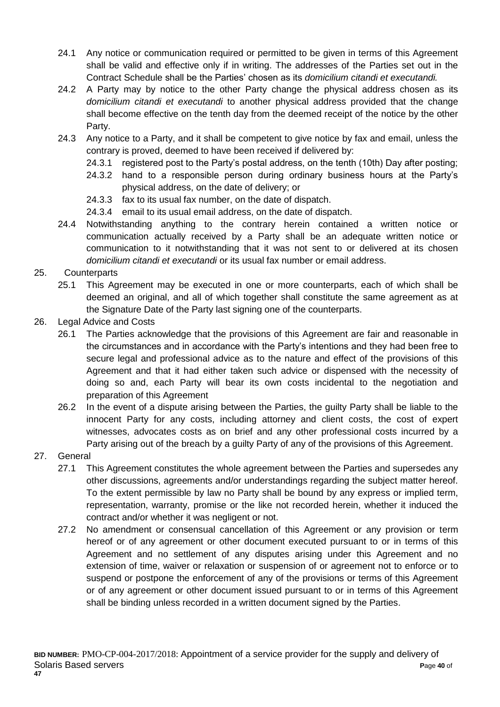- 24.1 Any notice or communication required or permitted to be given in terms of this Agreement shall be valid and effective only if in writing. The addresses of the Parties set out in the Contract Schedule shall be the Parties' chosen as its *domicilium citandi et executandi.*
- 24.2 A Party may by notice to the other Party change the physical address chosen as its *domicilium citandi et executandi* to another physical address provided that the change shall become effective on the tenth day from the deemed receipt of the notice by the other Party.
- 24.3 Any notice to a Party, and it shall be competent to give notice by fax and email, unless the contrary is proved, deemed to have been received if delivered by:
	- 24.3.1 registered post to the Party's postal address, on the tenth (10th) Day after posting;
	- 24.3.2 hand to a responsible person during ordinary business hours at the Party's physical address, on the date of delivery; or
	- 24.3.3 fax to its usual fax number, on the date of dispatch.
	- 24.3.4 email to its usual email address, on the date of dispatch.
- 24.4 Notwithstanding anything to the contrary herein contained a written notice or communication actually received by a Party shall be an adequate written notice or communication to it notwithstanding that it was not sent to or delivered at its chosen *domicilium citandi et executandi* or its usual fax number or email address.

## 25. Counterparts

- 25.1 This Agreement may be executed in one or more counterparts, each of which shall be deemed an original, and all of which together shall constitute the same agreement as at the Signature Date of the Party last signing one of the counterparts.
- 26. Legal Advice and Costs
	- 26.1 The Parties acknowledge that the provisions of this Agreement are fair and reasonable in the circumstances and in accordance with the Party's intentions and they had been free to secure legal and professional advice as to the nature and effect of the provisions of this Agreement and that it had either taken such advice or dispensed with the necessity of doing so and, each Party will bear its own costs incidental to the negotiation and preparation of this Agreement
	- 26.2 In the event of a dispute arising between the Parties, the guilty Party shall be liable to the innocent Party for any costs, including attorney and client costs, the cost of expert witnesses, advocates costs as on brief and any other professional costs incurred by a Party arising out of the breach by a guilty Party of any of the provisions of this Agreement.
- 27. General
	- 27.1 This Agreement constitutes the whole agreement between the Parties and supersedes any other discussions, agreements and/or understandings regarding the subject matter hereof. To the extent permissible by law no Party shall be bound by any express or implied term, representation, warranty, promise or the like not recorded herein, whether it induced the contract and/or whether it was negligent or not.
	- 27.2 No amendment or consensual cancellation of this Agreement or any provision or term hereof or of any agreement or other document executed pursuant to or in terms of this Agreement and no settlement of any disputes arising under this Agreement and no extension of time, waiver or relaxation or suspension of or agreement not to enforce or to suspend or postpone the enforcement of any of the provisions or terms of this Agreement or of any agreement or other document issued pursuant to or in terms of this Agreement shall be binding unless recorded in a written document signed by the Parties.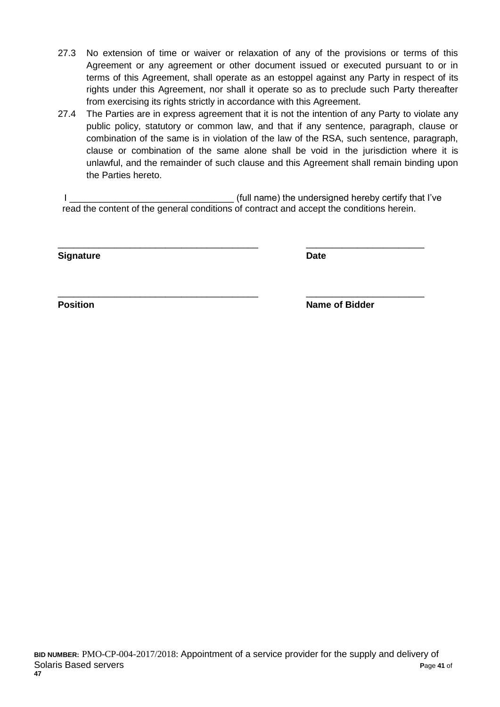- 27.3 No extension of time or waiver or relaxation of any of the provisions or terms of this Agreement or any agreement or other document issued or executed pursuant to or in terms of this Agreement, shall operate as an estoppel against any Party in respect of its rights under this Agreement, nor shall it operate so as to preclude such Party thereafter from exercising its rights strictly in accordance with this Agreement.
- 27.4 The Parties are in express agreement that it is not the intention of any Party to violate any public policy, statutory or common law, and that if any sentence, paragraph, clause or combination of the same is in violation of the law of the RSA, such sentence, paragraph, clause or combination of the same alone shall be void in the jurisdiction where it is unlawful, and the remainder of such clause and this Agreement shall remain binding upon the Parties hereto.

I consider the undersigned hereby certify that I've read the content of the general conditions of contract and accept the conditions herein.

\_\_\_\_\_\_\_\_\_\_\_\_\_\_\_\_\_\_\_\_\_\_\_\_\_\_\_\_\_\_\_\_\_\_\_\_\_\_\_ \_\_\_\_\_\_\_\_\_\_\_\_\_\_\_\_\_\_\_\_\_\_\_

\_\_\_\_\_\_\_\_\_\_\_\_\_\_\_\_\_\_\_\_\_\_\_\_\_\_\_\_\_\_\_\_\_\_\_\_\_\_\_ \_\_\_\_\_\_\_\_\_\_\_\_\_\_\_\_\_\_\_\_\_\_\_

**Signature Date**

**Position Name of Bidder**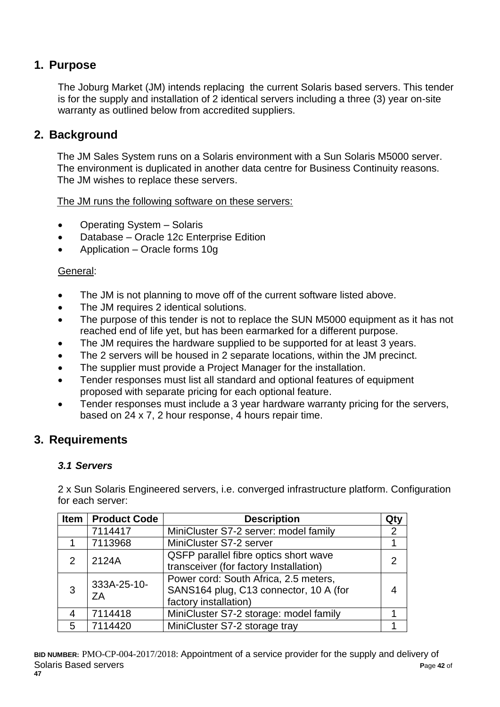# **1. Purpose**

The Joburg Market (JM) intends replacing the current Solaris based servers. This tender is for the supply and installation of 2 identical servers including a three (3) year on-site warranty as outlined below from accredited suppliers.

# **2. Background**

The JM Sales System runs on a Solaris environment with a Sun Solaris M5000 server. The environment is duplicated in another data centre for Business Continuity reasons. The JM wishes to replace these servers.

The JM runs the following software on these servers:

- Operating System Solaris
- Database Oracle 12c Enterprise Edition
- Application Oracle forms 10g

## General:

- The JM is not planning to move off of the current software listed above.
- The JM requires 2 identical solutions.
- The purpose of this tender is not to replace the SUN M5000 equipment as it has not reached end of life yet, but has been earmarked for a different purpose.
- The JM requires the hardware supplied to be supported for at least 3 years.
- The 2 servers will be housed in 2 separate locations, within the JM precinct.
- The supplier must provide a Project Manager for the installation.
- Tender responses must list all standard and optional features of equipment proposed with separate pricing for each optional feature.
- Tender responses must include a 3 year hardware warranty pricing for the servers, based on 24 x 7, 2 hour response, 4 hours repair time.

# **3. Requirements**

## *3.1 Servers*

2 x Sun Solaris Engineered servers, i.e. converged infrastructure platform. Configuration for each server:

| <b>Item</b>   | <b>Product Code</b> | <b>Description</b>                                                                                       | Qtv |
|---------------|---------------------|----------------------------------------------------------------------------------------------------------|-----|
|               | 7114417             | MiniCluster S7-2 server: model family                                                                    | 2   |
|               | 7113968             | MiniCluster S7-2 server                                                                                  |     |
| $\mathcal{P}$ | 2124A               | QSFP parallel fibre optics short wave<br>transceiver (for factory Installation)                          |     |
| 3             | 333A-25-10-<br>ΖA   | Power cord: South Africa, 2.5 meters,<br>SANS164 plug, C13 connector, 10 A (for<br>factory installation) |     |
|               | 7114418             | MiniCluster S7-2 storage: model family                                                                   |     |
| 5             | 7114420             | MiniCluster S7-2 storage tray                                                                            |     |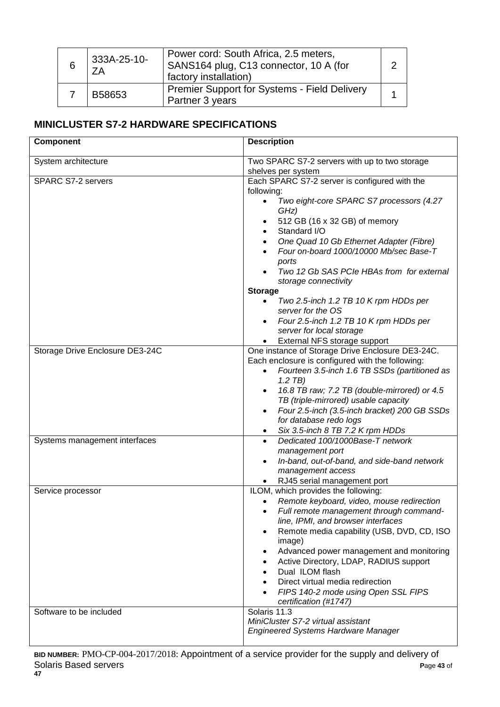| 6 | 333A-25-10-<br>ΖA | Power cord: South Africa, 2.5 meters,<br>SANS164 plug, C13 connector, 10 A (for<br>factory installation) |  |
|---|-------------------|----------------------------------------------------------------------------------------------------------|--|
|   | B58653            | <b>Premier Support for Systems - Field Delivery</b><br>Partner 3 years                                   |  |

# **MINICLUSTER S7-2 HARDWARE SPECIFICATIONS**

| Component                       | <b>Description</b>                                                                                                                                                                                                                                                                                                                                                                                                                     |
|---------------------------------|----------------------------------------------------------------------------------------------------------------------------------------------------------------------------------------------------------------------------------------------------------------------------------------------------------------------------------------------------------------------------------------------------------------------------------------|
| System architecture             | Two SPARC S7-2 servers with up to two storage<br>shelves per system                                                                                                                                                                                                                                                                                                                                                                    |
| <b>SPARC S7-2 servers</b>       | Each SPARC S7-2 server is configured with the<br>following:<br>Two eight-core SPARC S7 processors (4.27<br>$\bullet$<br>GHz)<br>512 GB (16 x 32 GB) of memory<br>$\bullet$<br>Standard I/O<br>$\bullet$<br>One Quad 10 Gb Ethernet Adapter (Fibre)<br>$\bullet$<br>Four on-board 1000/10000 Mb/sec Base-T<br>ports<br>Two 12 Gb SAS PCIe HBAs from for external<br>storage connectivity                                                |
|                                 | <b>Storage</b><br>Two 2.5-inch 1.2 TB 10 K rpm HDDs per<br>$\bullet$<br>server for the OS<br>Four 2.5-inch 1.2 TB 10 K rpm HDDs per<br>server for local storage<br>External NFS storage support                                                                                                                                                                                                                                        |
| Storage Drive Enclosure DE3-24C | One instance of Storage Drive Enclosure DE3-24C.<br>Each enclosure is configured with the following:<br>Fourteen 3.5-inch 1.6 TB SSDs (partitioned as<br>$1.2$ TB)<br>16.8 TB raw; 7.2 TB (double-mirrored) or 4.5<br>TB (triple-mirrored) usable capacity<br>Four 2.5-inch (3.5-inch bracket) 200 GB SSDs<br>for database redo logs<br>Six 3.5-inch 8 TB 7.2 K rpm HDDs                                                               |
| Systems management interfaces   | Dedicated 100/1000Base-T network<br>management port<br>In-band, out-of-band, and side-band network<br>management access<br>RJ45 serial management port                                                                                                                                                                                                                                                                                 |
| Service processor               | ILOM, which provides the following:<br>Remote keyboard, video, mouse redirection<br>Full remote management through command-<br>line, IPMI, and browser interfaces<br>Remote media capability (USB, DVD, CD, ISO<br>image)<br>Advanced power management and monitoring<br>Active Directory, LDAP, RADIUS support<br>Dual ILOM flash<br>Direct virtual media redirection<br>FIPS 140-2 mode using Open SSL FIPS<br>certification (#1747) |
| Software to be included         | Solaris 11.3<br>MiniCluster S7-2 virtual assistant<br><b>Engineered Systems Hardware Manager</b>                                                                                                                                                                                                                                                                                                                                       |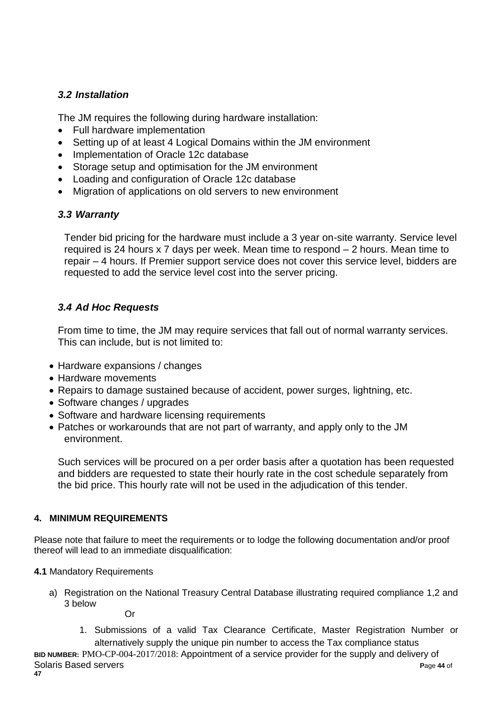# *3.2 Installation*

The JM requires the following during hardware installation:

- Full hardware implementation
- Setting up of at least 4 Logical Domains within the JM environment
- Implementation of Oracle 12c database
- Storage setup and optimisation for the JM environment
- Loading and configuration of Oracle 12c database
- Migration of applications on old servers to new environment

## *3.3 Warranty*

Tender bid pricing for the hardware must include a 3 year on-site warranty. Service level required is 24 hours x 7 days per week. Mean time to respond – 2 hours. Mean time to repair – 4 hours. If Premier support service does not cover this service level, bidders are requested to add the service level cost into the server pricing.

# *3.4 Ad Hoc Requests*

From time to time, the JM may require services that fall out of normal warranty services. This can include, but is not limited to:

- Hardware expansions / changes
- Hardware movements
- Repairs to damage sustained because of accident, power surges, lightning, etc.
- Software changes / upgrades
- Software and hardware licensing requirements
- Patches or workarounds that are not part of warranty, and apply only to the JM environment.

Such services will be procured on a per order basis after a quotation has been requested and bidders are requested to state their hourly rate in the cost schedule separately from the bid price. This hourly rate will not be used in the adjudication of this tender.

## **4. MINIMUM REQUIREMENTS**

Please note that failure to meet the requirements or to lodge the following documentation and/or proof thereof will lead to an immediate disqualification:

- **4.1** Mandatory Requirements
	- a) Registration on the National Treasury Central Database illustrating required compliance 1,2 and 3 below Or
		- 1. Submissions of a valid Tax Clearance Certificate, Master Registration Number or alternatively supply the unique pin number to access the Tax compliance status

**BID NUMBER:** PMO-CP-004-2017/2018: Appointment of a service provider for the supply and delivery of Solaris Based servers **P**age **44** of **47**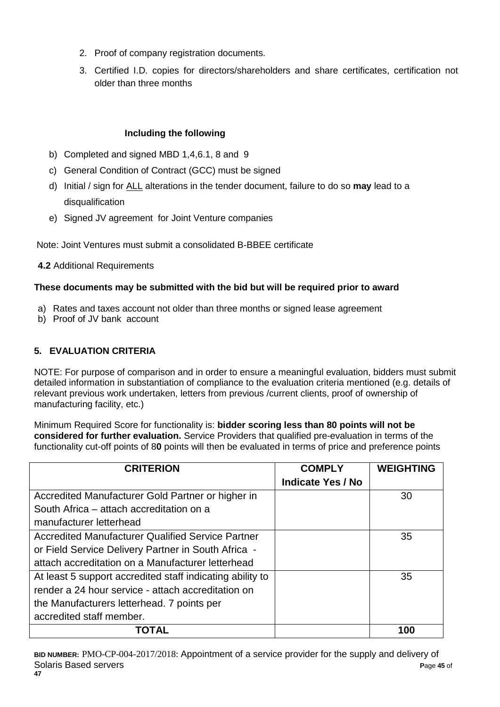- 2. Proof of company registration documents.
- 3. Certified I.D. copies for directors/shareholders and share certificates, certification not older than three months

# **Including the following**

- b) Completed and signed MBD 1,4,6.1, 8 and 9
- c) General Condition of Contract (GCC) must be signed
- d) Initial / sign for ALL alterations in the tender document, failure to do so **may** lead to a disqualification
- e) Signed JV agreement for Joint Venture companies

Note: Joint Ventures must submit a consolidated B-BBEE certificate

**4.2** Additional Requirements

## **These documents may be submitted with the bid but will be required prior to award**

- a) Rates and taxes account not older than three months or signed lease agreement
- b) Proof of JV bank account

# **5. EVALUATION CRITERIA**

NOTE: For purpose of comparison and in order to ensure a meaningful evaluation, bidders must submit detailed information in substantiation of compliance to the evaluation criteria mentioned (e.g. details of relevant previous work undertaken, letters from previous /current clients, proof of ownership of manufacturing facility, etc.)

Minimum Required Score for functionality is: **bidder scoring less than 80 points will not be considered for further evaluation.** Service Providers that qualified pre-evaluation in terms of the functionality cut-off points of 8**0** points will then be evaluated in terms of price and preference points

| <b>CRITERION</b>                                          | <b>COMPLY</b>            | <b>WEIGHTING</b> |
|-----------------------------------------------------------|--------------------------|------------------|
|                                                           | <b>Indicate Yes / No</b> |                  |
| Accredited Manufacturer Gold Partner or higher in         |                          | 30               |
| South Africa – attach accreditation on a                  |                          |                  |
| manufacturer letterhead                                   |                          |                  |
| <b>Accredited Manufacturer Qualified Service Partner</b>  |                          | 35               |
| or Field Service Delivery Partner in South Africa -       |                          |                  |
| attach accreditation on a Manufacturer letterhead         |                          |                  |
| At least 5 support accredited staff indicating ability to |                          | 35               |
| render a 24 hour service - attach accreditation on        |                          |                  |
| the Manufacturers letterhead. 7 points per                |                          |                  |
| accredited staff member.                                  |                          |                  |
| TOTAL                                                     |                          | 100              |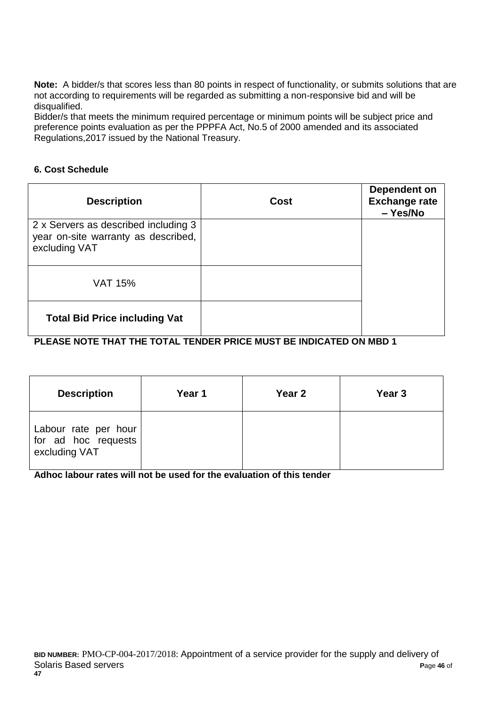**Note:** A bidder/s that scores less than 80 points in respect of functionality, or submits solutions that are not according to requirements will be regarded as submitting a non-responsive bid and will be disqualified.

Bidder/s that meets the minimum required percentage or minimum points will be subject price and preference points evaluation as per the PPPFA Act, No.5 of 2000 amended and its associated Regulations,2017 issued by the National Treasury.

#### **6. Cost Schedule**

| <b>Description</b>                                                                           | Cost | Dependent on<br><b>Exchange rate</b><br>- Yes/No |
|----------------------------------------------------------------------------------------------|------|--------------------------------------------------|
| 2 x Servers as described including 3<br>year on-site warranty as described,<br>excluding VAT |      |                                                  |
| <b>VAT 15%</b>                                                                               |      |                                                  |
| <b>Total Bid Price including Vat</b>                                                         |      |                                                  |

## **PLEASE NOTE THAT THE TOTAL TENDER PRICE MUST BE INDICATED ON MBD 1**

| <b>Description</b>                                           | Year 1 | Year 2 | Year 3 |
|--------------------------------------------------------------|--------|--------|--------|
| Labour rate per hour<br>for ad hoc requests<br>excluding VAT |        |        |        |

## **Adhoc labour rates will not be used for the evaluation of this tender**